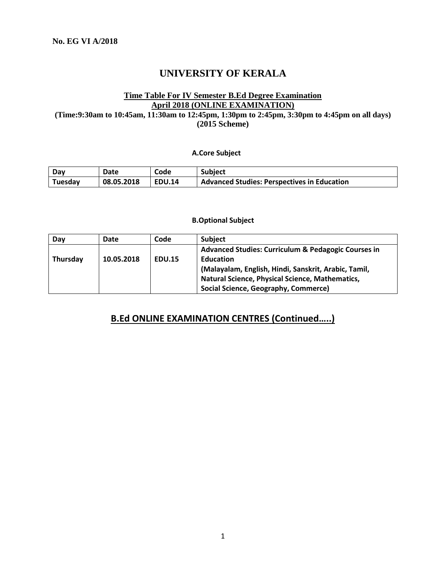### **UNIVERSITY OF KERALA**

#### **Time Table For IV Semester B.Ed Degree Examination April 2018 (ONLINE EXAMINATION)**

**(Time:9:30am to 10:45am, 11:30am to 12:45pm, 1:30pm to 2:45pm, 3:30pm to 4:45pm on all days) (2015 Scheme)**

#### **A.Core Subject**

| Dav            | Date       | Code          | <b>Subject</b>                                     |
|----------------|------------|---------------|----------------------------------------------------|
| <b>Tuesday</b> | 08.05.2018 | <b>EDU.14</b> | <b>Advanced Studies: Perspectives in Education</b> |

#### **B.Optional Subject**

| Dav      | Date       | Code          | <b>Subject</b>                                                                                                                                                                                                                               |
|----------|------------|---------------|----------------------------------------------------------------------------------------------------------------------------------------------------------------------------------------------------------------------------------------------|
| Thursday | 10.05.2018 | <b>EDU.15</b> | <b>Advanced Studies: Curriculum &amp; Pedagogic Courses in</b><br><b>Education</b><br>(Malayalam, English, Hindi, Sanskrit, Arabic, Tamil,<br>Natural Science, Physical Science, Mathematics,<br><b>Social Science, Geography, Commerce)</b> |

#### **B.Ed ONLINE EXAMINATION CENTRES (Continued…..)**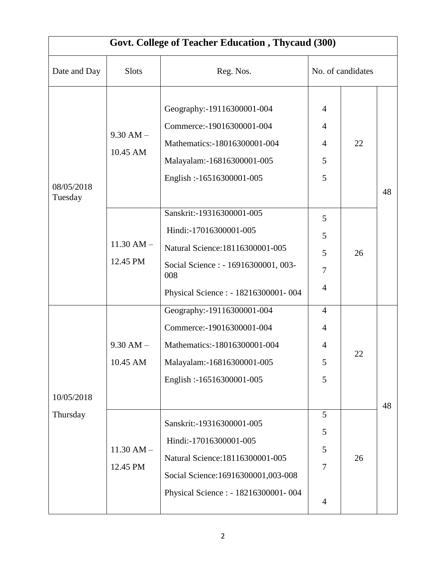| Govt. College of Teacher Education, Thycaud (300) |                            |                                                                                                                                                                                |                                                              |    |    |  |
|---------------------------------------------------|----------------------------|--------------------------------------------------------------------------------------------------------------------------------------------------------------------------------|--------------------------------------------------------------|----|----|--|
| Date and Day                                      | <b>Slots</b>               | Reg. Nos.                                                                                                                                                                      | No. of candidates                                            |    |    |  |
| 08/05/2018<br>Tuesday                             | $9.30$ AM $-$<br>10.45 AM  | Geography:-19116300001-004<br>Commerce:-19016300001-004<br>Mathematics:-18016300001-004<br>Malayalam:-16816300001-005<br>English: -16516300001-005                             | $\overline{4}$<br>$\overline{4}$<br>$\overline{4}$<br>5<br>5 | 22 | 48 |  |
|                                                   | $11.30$ AM $-$<br>12.45 PM | Sanskrit:-19316300001-005<br>Hindi:-17016300001-005<br>Natural Science: 18116300001-005<br>Social Science : - 16916300001, 003-<br>008<br>Physical Science : - 18216300001-004 | 5<br>5<br>5<br>7<br>4                                        | 26 |    |  |
| 10/05/2018<br>Thursday                            | $9.30$ AM $-$<br>10.45 AM  | Geography:-19116300001-004<br>Commerce:-19016300001-004<br>Mathematics:-18016300001-004<br>Malayalam:-16816300001-005<br>English: -16516300001-005                             | $\overline{4}$<br>$\overline{4}$<br>4<br>5<br>5              | 22 | 48 |  |
|                                                   | $11.30$ AM $-$<br>12.45 PM | Sanskrit:-19316300001-005<br>Hindi:-17016300001-005<br>Natural Science: 18116300001-005<br>Social Science: 16916300001,003-008<br>Physical Science : - 18216300001-004         | 5<br>5<br>5<br>$\overline{7}$<br>$\overline{4}$              | 26 |    |  |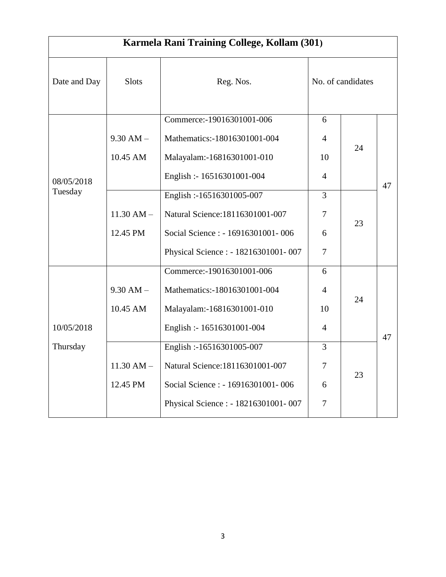| Karmela Rani Training College, Kollam (301) |                |                                      |                          |    |    |  |
|---------------------------------------------|----------------|--------------------------------------|--------------------------|----|----|--|
| Date and Day                                | <b>Slots</b>   | Reg. Nos.                            | No. of candidates        |    |    |  |
|                                             |                | Commerce:-19016301001-006            | 6                        |    |    |  |
|                                             | $9.30$ AM $-$  | Mathematics:-18016301001-004         | $\overline{4}$           | 24 |    |  |
|                                             | 10.45 AM       | Malayalam:-16816301001-010           | 10                       |    |    |  |
| 08/05/2018                                  |                | English :- 16516301001-004           | $\overline{4}$           |    | 47 |  |
| Tuesday                                     |                | English: -16516301005-007            | $\overline{3}$           |    |    |  |
|                                             | $11.30$ AM $-$ | Natural Science: 18116301001-007     | 7                        | 23 |    |  |
|                                             | 12.45 PM       | Social Science : - 16916301001-006   | 6                        |    |    |  |
|                                             |                | Physical Science : - 18216301001-007 | $\tau$                   |    |    |  |
|                                             |                | Commerce:-19016301001-006            | 6                        |    |    |  |
|                                             | $9.30$ AM $-$  | Mathematics:-18016301001-004         | $\overline{4}$           |    |    |  |
|                                             | 10.45 AM       | Malayalam:-16816301001-010           | 10                       | 24 |    |  |
| 10/05/2018                                  |                | English :- 16516301001-004           | $\overline{4}$           |    | 47 |  |
| Thursday                                    |                | English: -16516301005-007            | 3                        |    |    |  |
|                                             | $11.30$ AM $-$ | Natural Science: 18116301001-007     | 7                        | 23 |    |  |
|                                             | 12.45 PM       | Social Science : - 16916301001-006   | 6                        |    |    |  |
|                                             |                | Physical Science : - 18216301001-007 | $\overline{\mathcal{L}}$ |    |    |  |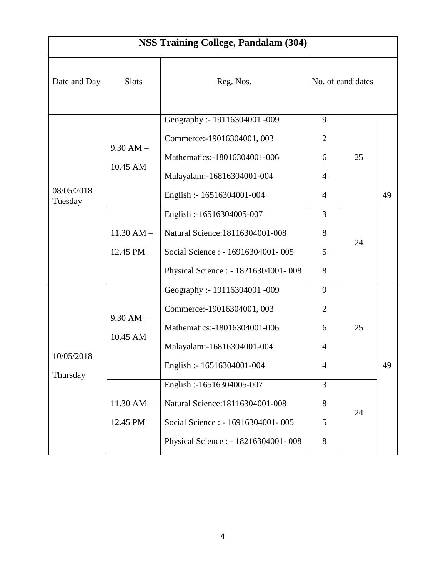| <b>NSS Training College, Pandalam (304)</b> |                            |                                                                                                                                                         |                                                              |    |    |  |
|---------------------------------------------|----------------------------|---------------------------------------------------------------------------------------------------------------------------------------------------------|--------------------------------------------------------------|----|----|--|
| Date and Day                                | <b>Slots</b>               | Reg. Nos.                                                                                                                                               | No. of candidates                                            |    |    |  |
| 08/05/2018<br>Tuesday                       | $9.30$ AM $-$<br>10.45 AM  | Geography :- 19116304001 -009<br>Commerce:-19016304001, 003<br>Mathematics:-18016304001-006<br>Malayalam:-16816304001-004<br>English :- 16516304001-004 | 9<br>$\overline{2}$<br>6<br>$\overline{4}$<br>$\overline{4}$ | 25 | 49 |  |
|                                             | $11.30$ AM $-$<br>12.45 PM | English: -16516304005-007<br>Natural Science: 18116304001-008<br>Social Science : - 16916304001-005<br>Physical Science : - 18216304001-008             | $\overline{3}$<br>8<br>5<br>8                                | 24 |    |  |
| 10/05/2018<br>Thursday                      | $9.30$ AM $-$<br>10.45 AM  | Geography :- 19116304001 -009<br>Commerce:-19016304001, 003<br>Mathematics:-18016304001-006<br>Malayalam:-16816304001-004<br>English :- 16516304001-004 | 9<br>$\overline{2}$<br>6<br>$\overline{4}$<br>$\overline{4}$ | 25 | 49 |  |
|                                             | $11.30 AM -$<br>12.45 PM   | English: -16516304005-007<br>Natural Science: 18116304001-008<br>Social Science : - 16916304001-005<br>Physical Science: - 18216304001-008              | 3<br>8<br>5<br>8                                             | 24 |    |  |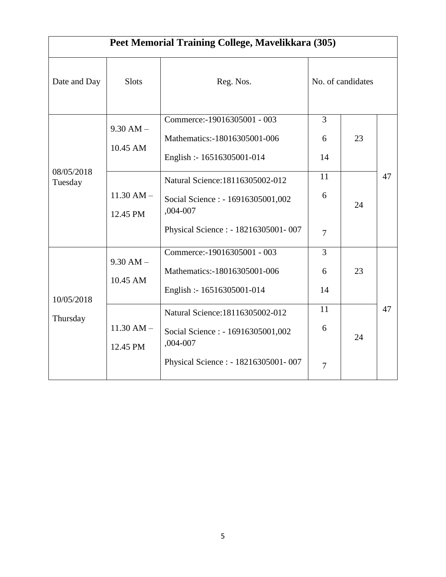| Peet Memorial Training College, Mavelikkara (305) |                            |                                                                                                                            |                           |    |    |  |
|---------------------------------------------------|----------------------------|----------------------------------------------------------------------------------------------------------------------------|---------------------------|----|----|--|
| Date and Day                                      | <b>Slots</b>               | Reg. Nos.                                                                                                                  | No. of candidates         |    |    |  |
| 08/05/2018<br>Tuesday                             | $9.30$ AM $-$<br>10.45 AM  | Commerce:-19016305001 - 003<br>Mathematics:-18016305001-006<br>English :- 16516305001-014                                  | 3<br>6<br>14              | 23 |    |  |
|                                                   | $11.30$ AM $-$<br>12.45 PM | Natural Science: 18116305002-012<br>Social Science : - 16916305001,002<br>,004-007<br>Physical Science : - 18216305001-007 | 11<br>6<br>$\overline{7}$ | 24 | 47 |  |
| 10/05/2018                                        | $9.30$ AM $-$<br>10.45 AM  | Commerce:-19016305001 - 003<br>Mathematics:-18016305001-006<br>English :- 16516305001-014                                  | $\overline{3}$<br>6<br>14 | 23 |    |  |
| Thursday                                          | $11.30 AM -$<br>12.45 PM   | Natural Science: 18116305002-012<br>Social Science : - 16916305001,002<br>,004-007<br>Physical Science : - 18216305001-007 | 11<br>6<br>7              | 24 | 47 |  |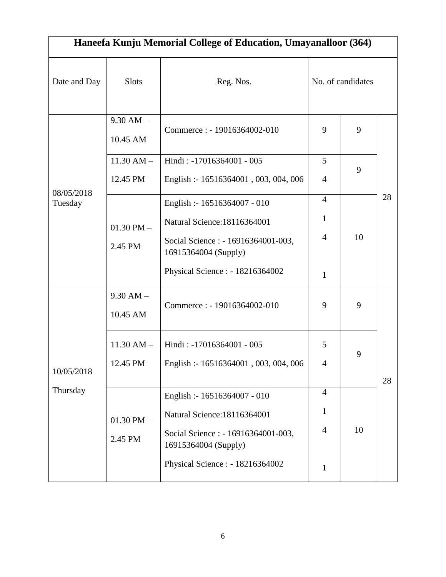| Haneefa Kunju Memorial College of Education, Umayanalloor (364) |                           |                                                             |                   |    |    |
|-----------------------------------------------------------------|---------------------------|-------------------------------------------------------------|-------------------|----|----|
| Date and Day                                                    | <b>Slots</b>              | Reg. Nos.                                                   | No. of candidates |    |    |
|                                                                 | $9.30$ AM $-$<br>10.45 AM | Commerce: - 19016364002-010                                 | 9                 | 9  |    |
|                                                                 | $11.30$ AM $-$            | Hindi: -17016364001 - 005                                   | $5\overline{)}$   |    |    |
| 08/05/2018                                                      | 12.45 PM                  | English :- 16516364001, 003, 004, 006                       | $\overline{4}$    | 9  |    |
| Tuesday                                                         |                           | English :- 16516364007 - 010                                | $\overline{4}$    |    | 28 |
|                                                                 |                           | Natural Science: 18116364001                                | $\mathbf{1}$      |    |    |
|                                                                 | $01.30$ PM $-$<br>2.45 PM | Social Science : - 16916364001-003,<br>16915364004 (Supply) | $\overline{4}$    | 10 |    |
|                                                                 |                           | Physical Science : - 18216364002                            | $\mathbf{1}$      |    |    |
|                                                                 | $9.30$ AM $-$<br>10.45 AM | Commerce: - 19016364002-010                                 | 9                 | 9  |    |
|                                                                 | $11.30$ AM $-$            | Hindi: -17016364001 - 005                                   | 5                 | 9  |    |
| 10/05/2018                                                      | 12.45 PM                  | English :- 16516364001, 003, 004, 006                       | 4                 |    | 28 |
| Thursday                                                        |                           | English :- 16516364007 - 010                                | $\overline{4}$    |    |    |
|                                                                 | $01.30$ PM $-$            | Natural Science: 18116364001                                | 1                 |    |    |
|                                                                 | 2.45 PM                   | Social Science : - 16916364001-003,<br>16915364004 (Supply) | $\overline{4}$    | 10 |    |
|                                                                 |                           | Physical Science : - 18216364002                            | $\mathbf{1}$      |    |    |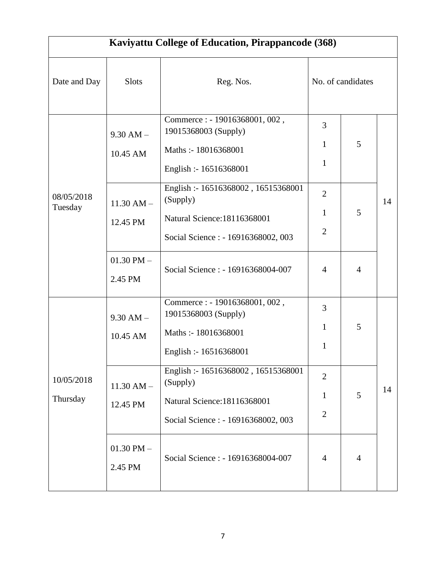| <b>Kaviyattu College of Education, Pirappancode (368)</b> |                            |                                                                                                                        |                                                  |                |    |
|-----------------------------------------------------------|----------------------------|------------------------------------------------------------------------------------------------------------------------|--------------------------------------------------|----------------|----|
| Date and Day                                              | <b>Slots</b>               | Reg. Nos.                                                                                                              | No. of candidates                                |                |    |
| 08/05/2018<br>Tuesday                                     | $9.30$ AM $-$<br>10.45 AM  | Commerce : - 19016368001, 002,<br>19015368003 (Supply)<br>Maths: - 18016368001<br>English :- 16516368001               | $\overline{3}$<br>$\mathbf{1}$<br>1              | 5              |    |
|                                                           | $11.30$ AM $-$<br>12.45 PM | English :- 16516368002, 16515368001<br>(Supply)<br>Natural Science: 18116368001<br>Social Science : - 16916368002, 003 | $\overline{2}$<br>$\mathbf{1}$<br>$\overline{2}$ | 5              | 14 |
|                                                           | $01.30$ PM $-$<br>2.45 PM  | Social Science: - 16916368004-007                                                                                      | $\overline{4}$                                   | $\overline{4}$ |    |
| 10/05/2018<br>Thursday                                    | $9.30$ AM $-$<br>10.45 AM  | Commerce: - 19016368001, 002,<br>19015368003 (Supply)<br>Maths: - 18016368001<br>English :- 16516368001                | 3<br>$\mathbf{1}$<br>1                           | 5              |    |
|                                                           | $11.30$ AM $-$<br>12.45 PM | English :- 16516368002, 16515368001<br>(Supply)<br>Natural Science: 18116368001<br>Social Science : - 16916368002, 003 | $\overline{2}$<br>$\mathbf{1}$<br>$\overline{2}$ | 5              | 14 |
|                                                           | $01.30$ PM $-$<br>2.45 PM  | Social Science: - 16916368004-007                                                                                      | $\overline{4}$                                   | $\overline{4}$ |    |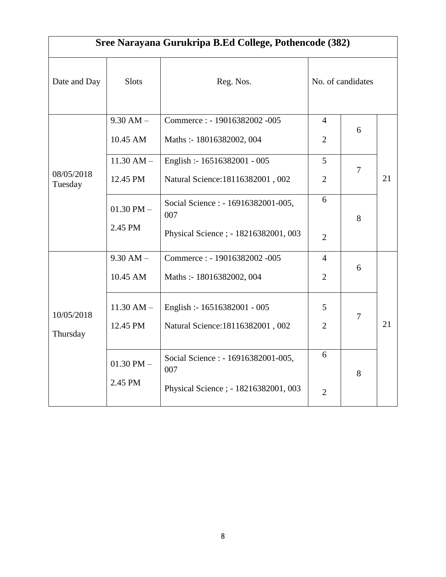| Sree Narayana Gurukripa B.Ed College, Pothencode (382) |                         |                                                           |                     |        |    |  |  |
|--------------------------------------------------------|-------------------------|-----------------------------------------------------------|---------------------|--------|----|--|--|
| Date and Day                                           | <b>Slots</b>            | Reg. Nos.                                                 | No. of candidates   |        |    |  |  |
|                                                        | $9.30 AM -$<br>10.45 AM | Commerce: - 19016382002 -005<br>Maths: - 18016382002, 004 | 4<br>$\overline{2}$ | 6      |    |  |  |
|                                                        | $11.30$ AM $-$          | English :- 16516382001 - 005                              | 5                   | $\tau$ |    |  |  |
| 08/05/2018<br>Tuesday                                  | 12.45 PM                | Natural Science: 18116382001, 002                         | $\overline{2}$      |        | 21 |  |  |
|                                                        | $01.30$ PM $-$          | Social Science : - 16916382001-005,<br>007                | 6                   | 8      |    |  |  |
|                                                        | 2.45 PM                 | Physical Science ; - 18216382001, 003                     | $\overline{2}$      |        |    |  |  |
|                                                        | $9.30$ AM $-$           | Commerce: - 19016382002 -005                              | $\overline{4}$      | 6      |    |  |  |
|                                                        | 10.45 AM                | Maths: - 18016382002, 004                                 | $\overline{2}$      |        |    |  |  |
| 10/05/2018                                             | $11.30$ AM $-$          | English :- 16516382001 - 005                              | 5                   | 7      |    |  |  |
| Thursday                                               | 12.45 PM                | Natural Science: 18116382001, 002                         | $\overline{2}$      |        | 21 |  |  |
|                                                        | $01.30$ PM $-$          | Social Science : - 16916382001-005,<br>007                | 6                   | 8      |    |  |  |
|                                                        | 2.45 PM                 | Physical Science; - 18216382001, 003                      | $\overline{2}$      |        |    |  |  |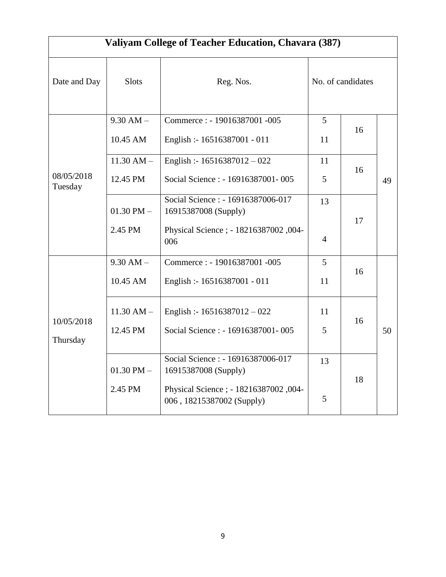| Valiyam College of Teacher Education, Chavara (387) |                            |                                                                                                                                |                      |    |    |  |
|-----------------------------------------------------|----------------------------|--------------------------------------------------------------------------------------------------------------------------------|----------------------|----|----|--|
| Date and Day                                        | <b>Slots</b>               | Reg. Nos.                                                                                                                      | No. of candidates    |    |    |  |
| 08/05/2018<br>Tuesday                               | $9.30$ AM $-$<br>10.45 AM  | Commerce: - 19016387001 -005<br>English :- 16516387001 - 011                                                                   | 5<br>11              | 16 |    |  |
|                                                     | $11.30$ AM $-$<br>12.45 PM | English :- $16516387012 - 022$<br>Social Science : - 16916387001-005                                                           | 11<br>5              | 16 | 49 |  |
|                                                     | $01.30$ PM $-$<br>2.45 PM  | Social Science: - 16916387006-017<br>16915387008 (Supply)<br>Physical Science; - 18216387002,004-                              | 13<br>$\overline{4}$ | 17 |    |  |
|                                                     | $9.30$ AM $-$<br>10.45 AM  | 006<br>Commerce: - 19016387001 -005<br>English :- 16516387001 - 011                                                            | 5<br>11              | 16 |    |  |
| 10/05/2018<br>Thursday                              | $11.30$ AM $-$<br>12.45 PM | English :- $16516387012 - 022$<br>Social Science : - 16916387001-005                                                           | 11<br>5              | 16 | 50 |  |
|                                                     | $01.30$ PM $-$<br>2.45 PM  | Social Science: - 16916387006-017<br>16915387008 (Supply)<br>Physical Science; - 18216387002,004-<br>006, 18215387002 (Supply) | 13<br>5              | 18 |    |  |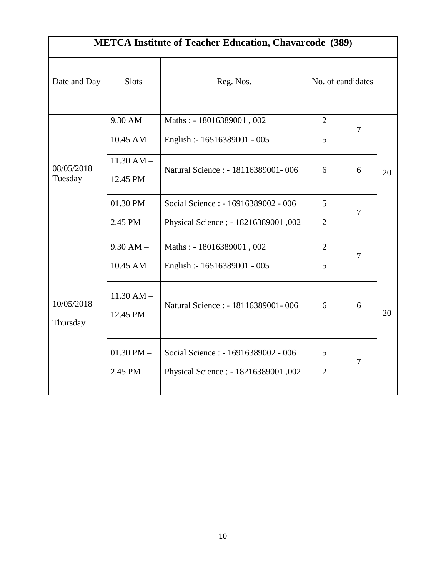| <b>METCA Institute of Teacher Education, Chavarcode (389)</b> |                            |                                                          |                   |                |    |  |
|---------------------------------------------------------------|----------------------------|----------------------------------------------------------|-------------------|----------------|----|--|
| Date and Day                                                  | <b>Slots</b>               | Reg. Nos.                                                | No. of candidates |                |    |  |
| 08/05/2018<br>Tuesday                                         | $9.30$ AM $-$<br>10.45 AM  | Maths: -18016389001, 002<br>English :- 16516389001 - 005 | 2<br>5            | $\overline{7}$ |    |  |
|                                                               | $11.30$ AM $-$<br>12.45 PM | Natural Science: - 18116389001-006                       | 6                 | 6              | 20 |  |
|                                                               | $01.30$ PM $-$             | Social Science : - 16916389002 - 006                     | 5                 | $\overline{7}$ |    |  |
|                                                               | 2.45 PM                    | Physical Science ; - 18216389001,002                     | $\overline{2}$    |                |    |  |
|                                                               | $9.30$ AM $-$              | Maths: -18016389001, 002                                 | $\overline{2}$    | $\overline{7}$ |    |  |
|                                                               | 10.45 AM                   | English :- 16516389001 - 005                             | 5                 |                |    |  |
| 10/05/2018<br>Thursday                                        | $11.30$ AM $-$<br>12.45 PM | Natural Science: - 18116389001-006                       | 6                 | 6              | 20 |  |
|                                                               | $01.30$ PM $-$             | Social Science : - 16916389002 - 006                     | 5                 | $\overline{7}$ |    |  |
|                                                               | 2.45 PM                    | Physical Science ; - 18216389001,002                     | $\overline{2}$    |                |    |  |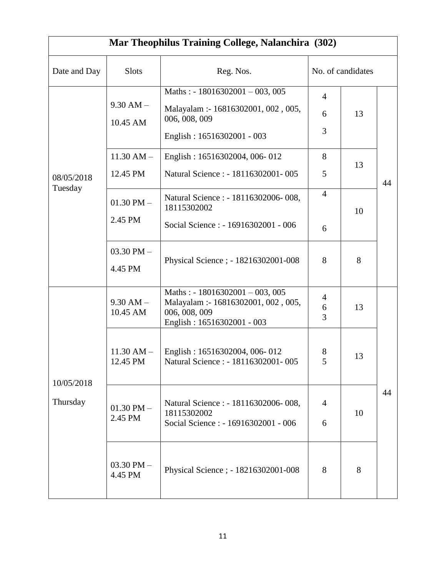|                       |                            | Mar Theophilus Training College, Nalanchira (302)                                                                     |                                   |                   |    |
|-----------------------|----------------------------|-----------------------------------------------------------------------------------------------------------------------|-----------------------------------|-------------------|----|
| Date and Day          | <b>Slots</b>               | Reg. Nos.                                                                                                             |                                   | No. of candidates |    |
| 08/05/2018<br>Tuesday | $9.30$ AM $-$<br>10.45 AM  | Maths: $-18016302001 - 003,005$<br>Malayalam :- 16816302001, 002, 005,<br>006, 008, 009<br>English: 16516302001 - 003 | $\overline{4}$<br>6<br>3          | 13                |    |
|                       | $11.30$ AM $-$<br>12.45 PM | English: 16516302004, 006-012<br>Natural Science : - 18116302001-005                                                  | 8<br>5                            | 13                | 44 |
|                       | $01.30$ PM $-$<br>2.45 PM  | Natural Science : - 18116302006-008,<br>18115302002<br>Social Science : - 16916302001 - 006                           | $\overline{4}$<br>6               | 10                |    |
|                       | $03.30$ PM $-$<br>4.45 PM  | Physical Science ; - 18216302001-008                                                                                  | 8                                 | 8                 |    |
|                       | $9.30$ AM $-$<br>10.45 AM  | Maths: $-18016302001 - 003,005$<br>Malayalam: - 16816302001, 002, 005,<br>006, 008, 009<br>English: 16516302001 - 003 | $\overline{4}$<br>$\sqrt{6}$<br>3 | 13                |    |
| 10/05/2018            | $11.30 AM -$<br>12.45 PM   | English: 16516302004, 006-012<br>Natural Science : - 18116302001-005                                                  | 8<br>5                            | 13                |    |
| Thursday              | $01.30$ PM $-$<br>2.45 PM  | Natural Science : - 18116302006-008,<br>18115302002<br>Social Science: - 16916302001 - 006                            | $\overline{4}$<br>6               | 10                | 44 |
|                       | $03.30$ PM $-$<br>4.45 PM  | Physical Science ; - 18216302001-008                                                                                  | 8                                 | 8                 |    |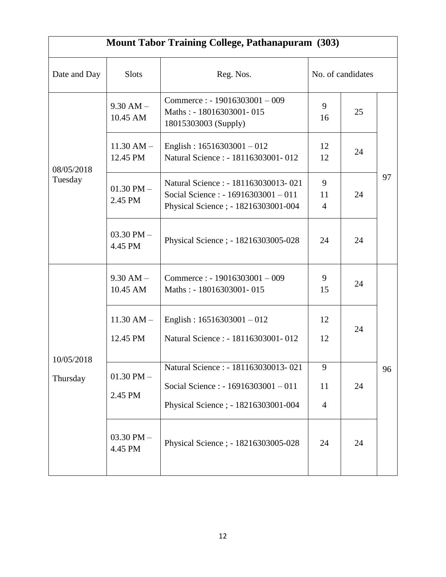| <b>Mount Tabor Training College, Pathanapuram (303)</b> |                            |                                                                                                                    |                           |    |    |  |
|---------------------------------------------------------|----------------------------|--------------------------------------------------------------------------------------------------------------------|---------------------------|----|----|--|
| Date and Day                                            | <b>Slots</b>               | Reg. Nos.                                                                                                          | No. of candidates         |    |    |  |
| 08/05/2018<br>Tuesday                                   | $9.30$ AM $-$<br>10.45 AM  | Commerce: $-19016303001 - 009$<br>Maths: - 18016303001-015<br>18015303003 (Supply)                                 | 9<br>16                   | 25 |    |  |
|                                                         | $11.30$ AM $-$<br>12.45 PM | English: $16516303001 - 012$<br>Natural Science: - 18116303001-012                                                 | 12<br>12                  | 24 |    |  |
|                                                         | $01.30$ PM $-$<br>2.45 PM  | Natural Science : - 181163030013-021<br>Social Science: - 16916303001 - 011<br>Physical Science; - 18216303001-004 | 9<br>11<br>$\overline{4}$ | 24 | 97 |  |
|                                                         | $03.30$ PM $-$<br>4.45 PM  | Physical Science ; - 18216303005-028                                                                               | 24                        | 24 |    |  |
|                                                         | $9.30$ AM $-$<br>10.45 AM  | Commerce: $-19016303001 - 009$<br>Maths: -18016303001-015                                                          | 9<br>15                   | 24 |    |  |
|                                                         | $11.30$ AM $-$<br>12.45 PM | English: $16516303001 - 012$<br>Natural Science : - 18116303001-012                                                | 12<br>12                  | 24 |    |  |
| 10/05/2018<br>Thursday                                  | $01.30$ PM $-$<br>2.45 PM  | Natural Science : - 181163030013-021<br>Social Science: - 16916303001 - 011<br>Physical Science; - 18216303001-004 | 9<br>11<br>$\overline{4}$ | 24 | 96 |  |
|                                                         | $03.30$ PM $-$<br>4.45 PM  | Physical Science; - 18216303005-028                                                                                | 24                        | 24 |    |  |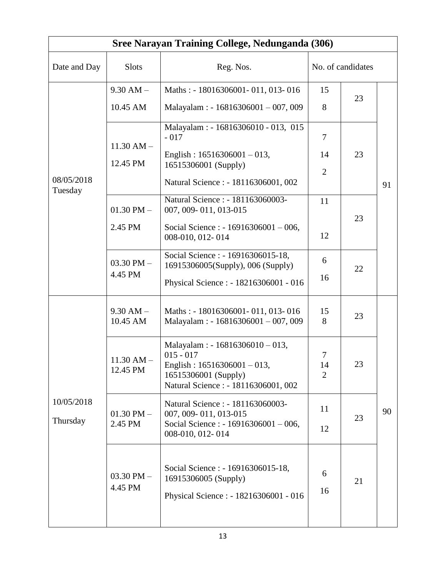|                       |                            | Sree Narayan Training College, Nedunganda (306)                                                                                                   |                           |                   |    |
|-----------------------|----------------------------|---------------------------------------------------------------------------------------------------------------------------------------------------|---------------------------|-------------------|----|
| Date and Day          | <b>Slots</b>               | Reg. Nos.                                                                                                                                         |                           | No. of candidates |    |
|                       | $9.30 AM -$                | Maths: - 18016306001-011, 013-016                                                                                                                 | 15                        | 23                |    |
|                       | 10.45 AM                   | Malayalam: - 16816306001 - 007, 009                                                                                                               | 8                         |                   |    |
|                       | $11.30$ AM $-$             | Malayalam: - 16816306010 - 013, 015<br>$-017$                                                                                                     | $\tau$                    |                   |    |
|                       | 12.45 PM                   | English: $16516306001 - 013$ ,<br>16515306001 (Supply)                                                                                            | 14                        | 23                |    |
| 08/05/2018<br>Tuesday |                            | Natural Science : - 18116306001, 002                                                                                                              | $\overline{2}$            |                   | 91 |
|                       | $01.30$ PM $-$             | Natural Science : - 181163060003-<br>007, 009-011, 013-015                                                                                        | 11                        |                   |    |
|                       | 2.45 PM                    | Social Science : $-16916306001 - 006$ ,<br>008-010, 012-014                                                                                       | 12                        | 23                |    |
|                       | $03.30$ PM $-$             | Social Science : - 16916306015-18,<br>16915306005(Supply), 006 (Supply)                                                                           | 6                         |                   |    |
|                       | 4.45 PM                    | Physical Science : - 18216306001 - 016                                                                                                            | 16                        | 22                |    |
|                       | $9.30 AM -$<br>10.45 AM    | Maths: - 18016306001-011, 013-016<br>Malayalam: $-16816306001 - 007,009$                                                                          | 15<br>8                   | 23                |    |
|                       | $11.30$ AM $-$<br>12.45 PM | Malayalam: $-16816306010 - 013$ ,<br>$015 - 017$<br>English: $16516306001 - 013$ ,<br>16515306001 (Supply)<br>Natural Science: - 18116306001, 002 | 7<br>14<br>$\overline{2}$ | 23                |    |
| 10/05/2018            | $01.30$ PM $-$             | Natural Science : - 181163060003-<br>007, 009-011, 013-015                                                                                        | 11                        | 23                | 90 |
| Thursday              | 2.45 PM                    | Social Science : $-16916306001 - 006$ ,<br>008-010, 012-014                                                                                       | 12                        |                   |    |
|                       | $03.30$ PM $-$<br>4.45 PM  | Social Science : - 16916306015-18,<br>16915306005 (Supply)<br>Physical Science : - 18216306001 - 016                                              | 6<br>16                   | 21                |    |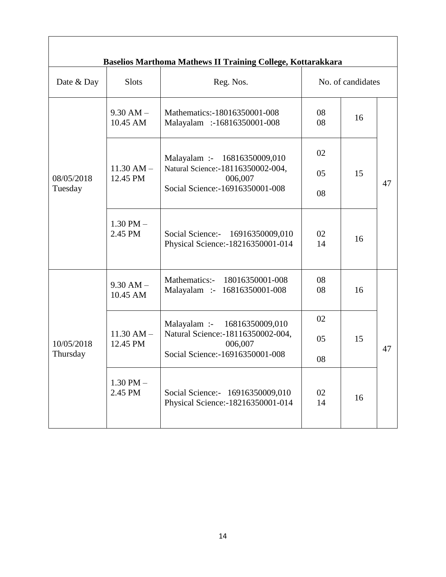| <b>Baselios Marthoma Mathews II Training College, Kottarakkara</b> |                            |                                                                         |          |                   |    |  |  |  |
|--------------------------------------------------------------------|----------------------------|-------------------------------------------------------------------------|----------|-------------------|----|--|--|--|
| Date & Day                                                         | <b>Slots</b>               | Reg. Nos.                                                               |          | No. of candidates |    |  |  |  |
|                                                                    | $9.30$ AM $-$<br>10.45 AM  | Mathematics:-18016350001-008<br>Malayalam :-16816350001-008             | 08<br>08 | 16                |    |  |  |  |
|                                                                    |                            | Malayalam :- 16816350009,010                                            | 02       |                   |    |  |  |  |
| 08/05/2018                                                         | $11.30$ AM $-$<br>12.45 PM | Natural Science: - 18116350002-004,<br>006,007                          | 05       | 15                | 47 |  |  |  |
| Tuesday                                                            |                            | Social Science:-16916350001-008                                         | 08       |                   |    |  |  |  |
|                                                                    | $1.30$ PM $-$<br>2.45 PM   | Social Science:- 16916350009,010<br>Physical Science: - 18216350001-014 | 02<br>14 | 16                |    |  |  |  |
|                                                                    | $9.30$ AM $-$<br>10.45 AM  | Mathematics:- 18016350001-008<br>Malayalam :- 16816350001-008           | 08<br>08 | 16                |    |  |  |  |
|                                                                    |                            | Malayalam :-<br>16816350009,010                                         | 02       |                   |    |  |  |  |
| 10/05/2018                                                         | $11.30$ AM $-$<br>12.45 PM | Natural Science: - 18116350002-004,<br>006,007                          | 05       | 15                | 47 |  |  |  |
| Thursday                                                           |                            | Social Science: - 16916350001-008                                       | 08       |                   |    |  |  |  |
|                                                                    | $1.30$ PM $-$<br>2.45 PM   | Social Science:- 16916350009,010<br>Physical Science: - 18216350001-014 | 02<br>14 | 16                |    |  |  |  |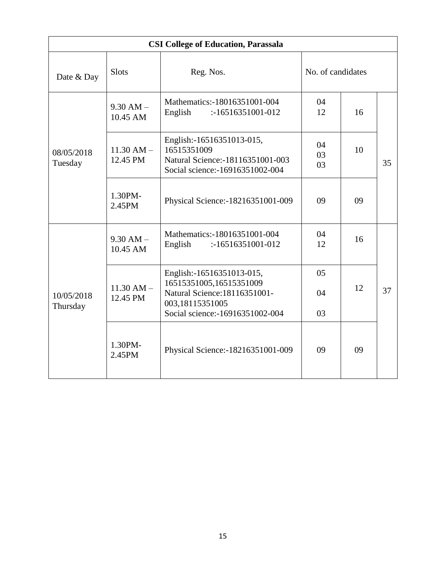| <b>CSI College of Education, Parassala</b> |                            |                                                                                                                                              |                   |    |    |  |  |
|--------------------------------------------|----------------------------|----------------------------------------------------------------------------------------------------------------------------------------------|-------------------|----|----|--|--|
| Date & Day                                 | <b>Slots</b>               | Reg. Nos.                                                                                                                                    | No. of candidates |    |    |  |  |
| 08/05/2018<br>Tuesday                      | $9.30$ AM $-$<br>10.45 AM  | Mathematics: -18016351001-004<br>English<br>$: -16516351001 - 012$                                                                           | 04<br>12          | 16 |    |  |  |
|                                            | $11.30$ AM $-$<br>12.45 PM | English:-16516351013-015,<br>16515351009<br>Natural Science: - 18116351001-003<br>Social science: -16916351002-004                           | 04<br>03<br>03    | 10 | 35 |  |  |
|                                            | 1.30PM-<br>2.45PM          | Physical Science: -18216351001-009                                                                                                           | 09                | 09 |    |  |  |
|                                            | $9.30$ AM $-$<br>10.45 AM  | Mathematics: -18016351001-004<br>English<br>$: -16516351001 - 012$                                                                           | 04<br>12          | 16 |    |  |  |
| 10/05/2018<br>Thursday                     | $11.30$ AM $-$<br>12.45 PM | English:-16516351013-015,<br>16515351005,16515351009<br>Natural Science: 18116351001-<br>003,18115351005<br>Social science: -16916351002-004 | 05<br>04<br>03    | 12 | 37 |  |  |
|                                            | 1.30PM-<br>2.45PM          | Physical Science: -18216351001-009                                                                                                           | 09                | 09 |    |  |  |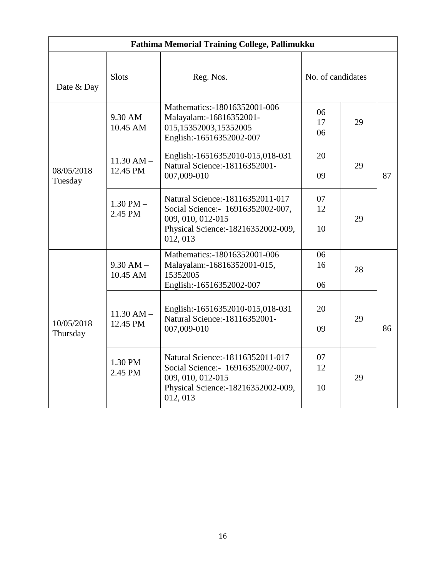| <b>Fathima Memorial Training College, Pallimukku</b> |                            |                                                                                                                                                  |                   |    |    |  |  |
|------------------------------------------------------|----------------------------|--------------------------------------------------------------------------------------------------------------------------------------------------|-------------------|----|----|--|--|
| Date & Day                                           | <b>Slots</b>               | Reg. Nos.                                                                                                                                        | No. of candidates |    |    |  |  |
| 08/05/2018<br>Tuesday                                | $9.30$ AM $-$<br>10.45 AM  | Mathematics:-18016352001-006<br>Malayalam:-16816352001-<br>015,15352003,15352005<br>English:-16516352002-007                                     | 06<br>17<br>06    | 29 |    |  |  |
|                                                      | $11.30$ AM $-$<br>12.45 PM | English:-16516352010-015,018-031<br>Natural Science: - 18116352001-<br>007,009-010                                                               | 20<br>09          | 29 | 87 |  |  |
|                                                      | $1.30$ PM $-$<br>2.45 PM   | Natural Science: - 18116352011-017<br>Social Science: - 16916352002-007,<br>009, 010, 012-015<br>Physical Science: -18216352002-009,<br>012, 013 | 07<br>12<br>10    | 29 |    |  |  |
|                                                      | $9.30$ AM $-$<br>10.45 AM  | Mathematics:-18016352001-006<br>Malayalam:-16816352001-015,<br>15352005<br>English:-16516352002-007                                              | 06<br>16<br>06    | 28 |    |  |  |
| 10/05/2018<br>Thursday                               | $11.30$ AM $-$<br>12.45 PM | English:-16516352010-015,018-031<br>Natural Science: - 18116352001-<br>007,009-010                                                               | 20<br>09          | 29 | 86 |  |  |
|                                                      | $1.30$ PM $-$<br>2.45 PM   | Natural Science: - 18116352011-017<br>Social Science:- 16916352002-007,<br>009, 010, 012-015<br>Physical Science: -18216352002-009,<br>012, 013  | 07<br>12<br>10    | 29 |    |  |  |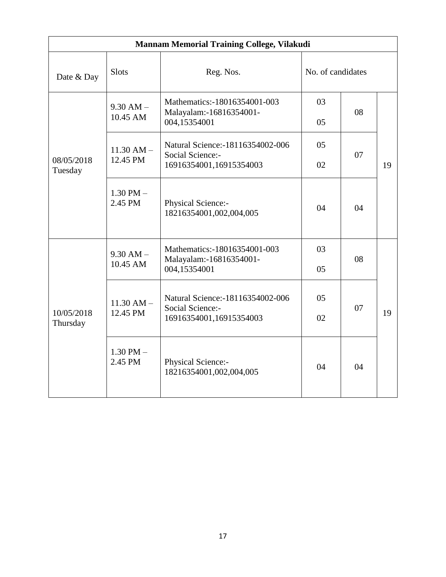| Mannam Memorial Training College, Vilakudi |                            |                                                                                   |                   |    |    |  |  |
|--------------------------------------------|----------------------------|-----------------------------------------------------------------------------------|-------------------|----|----|--|--|
| Date & Day                                 | <b>Slots</b>               | Reg. Nos.                                                                         | No. of candidates |    |    |  |  |
| 08/05/2018<br>Tuesday                      | $9.30$ AM $-$<br>10.45 AM  | Mathematics:-18016354001-003<br>Malayalam:-16816354001-<br>004,15354001           | 03<br>05          | 08 |    |  |  |
|                                            | $11.30$ AM $-$<br>12.45 PM | Natural Science: - 18116354002-006<br>Social Science:-<br>16916354001,16915354003 | 05<br>02          | 07 | 19 |  |  |
|                                            | $1.30$ PM $-$<br>2.45 PM   | Physical Science:-<br>18216354001,002,004,005                                     | 04                | 04 |    |  |  |
|                                            | $9.30$ AM $-$<br>10.45 AM  | Mathematics: -18016354001-003<br>Malayalam:-16816354001-<br>004,15354001          | 03<br>05          | 08 |    |  |  |
| 10/05/2018<br>Thursday                     | $11.30$ AM $-$<br>12.45 PM | Natural Science: - 18116354002-006<br>Social Science:-<br>16916354001,16915354003 | 05<br>02          | 07 | 19 |  |  |
|                                            | $1.30$ PM $-$<br>2.45 PM   | Physical Science:-<br>18216354001,002,004,005                                     | 04                | 04 |    |  |  |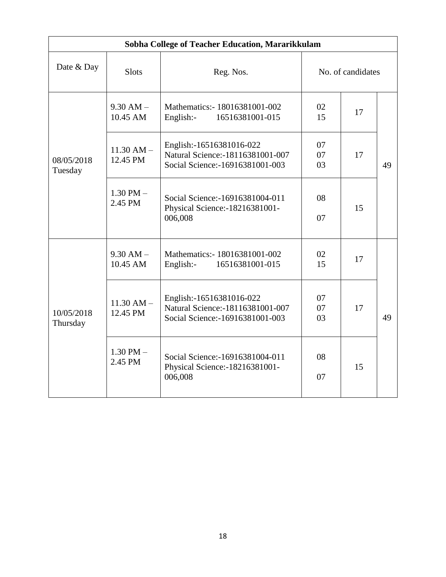|                        | Sobha College of Teacher Education, Mararikkulam |                                                                                                   |                |                   |    |  |  |
|------------------------|--------------------------------------------------|---------------------------------------------------------------------------------------------------|----------------|-------------------|----|--|--|
| Date & Day             | <b>Slots</b>                                     | Reg. Nos.                                                                                         |                | No. of candidates |    |  |  |
| 08/05/2018<br>Tuesday  | $9.30$ AM $-$<br>10.45 AM                        | Mathematics: - 18016381001-002<br>16516381001-015<br>English:                                     | 02<br>15       | 17                |    |  |  |
|                        | $11.30$ AM $-$<br>12.45 PM                       | English:-16516381016-022<br>Natural Science:-18116381001-007<br>Social Science: - 16916381001-003 | 07<br>07<br>03 | 17                | 49 |  |  |
|                        | $1.30$ PM $-$<br>2.45 PM                         | Social Science:-16916381004-011<br>Physical Science: - 18216381001-<br>006,008                    | 08<br>07       | 15                |    |  |  |
|                        | $9.30$ AM $-$<br>10.45 AM                        | Mathematics: - 18016381001-002<br>16516381001-015<br>English:-                                    | 02<br>15       | 17                |    |  |  |
| 10/05/2018<br>Thursday | $11.30 AM -$<br>12.45 PM                         | English:-16516381016-022<br>Natural Science: - 18116381001-007<br>Social Science:-16916381001-003 | 07<br>07<br>03 | 17                | 49 |  |  |
|                        | $1.30$ PM $-$<br>2.45 PM                         | Social Science:-16916381004-011<br>Physical Science: - 18216381001-<br>006,008                    | 08<br>07       | 15                |    |  |  |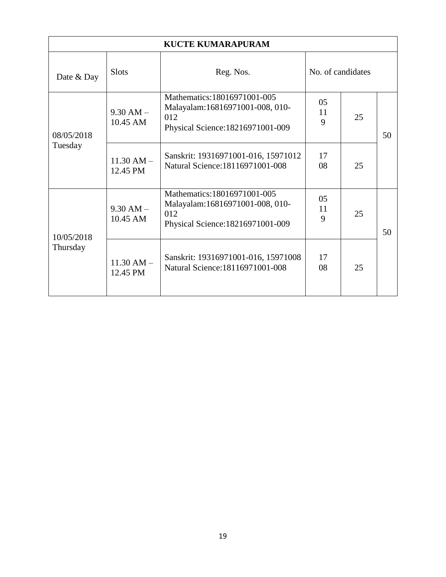| <b>KUCTE KUMARAPURAM</b> |                           |                                                                                                             |                           |    |    |  |  |  |
|--------------------------|---------------------------|-------------------------------------------------------------------------------------------------------------|---------------------------|----|----|--|--|--|
| Date & Day               | <b>Slots</b>              | Reg. Nos.                                                                                                   | No. of candidates         |    |    |  |  |  |
| 08/05/2018<br>Tuesday    | $9.30 AM -$<br>10.45 AM   | Mathematics: 18016971001-005<br>Malayalam:16816971001-008, 010-<br>012<br>Physical Science: 18216971001-009 | 05<br>11<br>9             | 25 | 50 |  |  |  |
|                          | $11.30 AM -$<br>12.45 PM  | Sanskrit: 19316971001-016, 15971012<br>Natural Science: 18116971001-008                                     | 17<br>08                  | 25 |    |  |  |  |
| 10/05/2018<br>Thursday   | $9.30$ AM $-$<br>10.45 AM | Mathematics: 18016971001-005<br>Malayalam:16816971001-008, 010-<br>012<br>Physical Science: 18216971001-009 | 0 <sub>5</sub><br>11<br>9 | 25 | 50 |  |  |  |
|                          | $11.30 AM -$<br>12.45 PM  | Sanskrit: 19316971001-016, 15971008<br>Natural Science: 18116971001-008                                     | 17<br>08                  | 25 |    |  |  |  |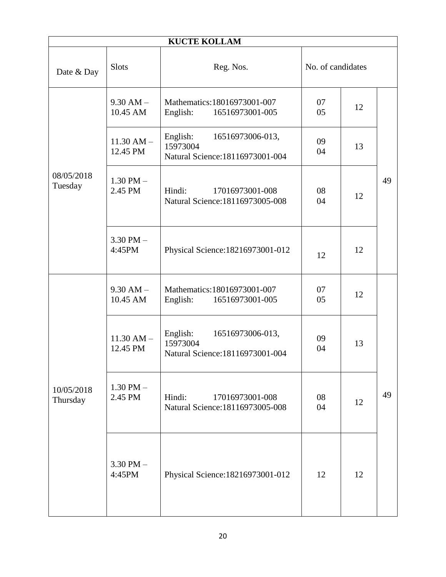|                        |                            | <b>KUCTE KOLLAM</b>                                                          |          |                   |    |  |
|------------------------|----------------------------|------------------------------------------------------------------------------|----------|-------------------|----|--|
| Date & Day             | <b>Slots</b>               | Reg. Nos.                                                                    |          | No. of candidates |    |  |
| 08/05/2018<br>Tuesday  | $9.30$ AM $-$<br>10.45 AM  | Mathematics: 18016973001-007<br>English:<br>16516973001-005                  | 07<br>05 | 12                |    |  |
|                        | $11.30$ AM $-$<br>12.45 PM | English:<br>16516973006-013,<br>15973004<br>Natural Science: 18116973001-004 | 09<br>04 | 13                |    |  |
|                        | $1.30$ PM $-$<br>2.45 PM   | Hindi:<br>17016973001-008<br>Natural Science: 18116973005-008                | 08<br>04 | 12                | 49 |  |
|                        | $3.30$ PM $-$<br>4:45PM    | Physical Science: 18216973001-012                                            | 12       | 12                |    |  |
|                        | $9.30$ AM $-$<br>10.45 AM  | Mathematics: 18016973001-007<br>English:<br>16516973001-005                  | 07<br>05 | 12                |    |  |
|                        | $11.30$ AM $-$<br>12.45 PM | 16516973006-013,<br>English:<br>15973004<br>Natural Science: 18116973001-004 | 09<br>04 | 13                |    |  |
| 10/05/2018<br>Thursday | $1.30$ PM $-$<br>2.45 PM   | Hindi:<br>17016973001-008<br>Natural Science: 18116973005-008                | 08<br>04 | 12                | 49 |  |
|                        | $3.30$ PM $-$<br>4:45PM    | Physical Science: 18216973001-012                                            | 12       | 12                |    |  |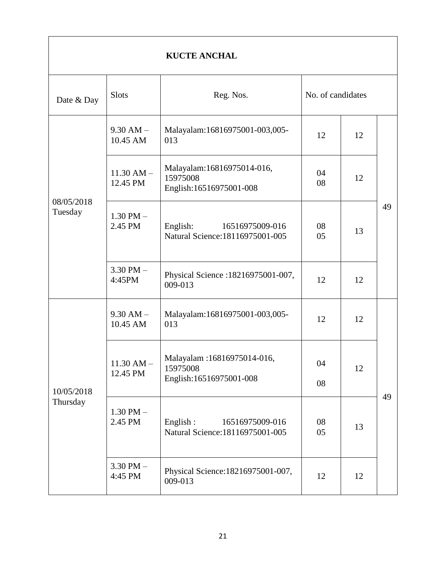| <b>KUCTE ANCHAL</b>    |                            |                                                                    |          |                   |    |  |  |  |
|------------------------|----------------------------|--------------------------------------------------------------------|----------|-------------------|----|--|--|--|
| Date & Day             | <b>Slots</b>               | Reg. Nos.                                                          |          | No. of candidates |    |  |  |  |
| 08/05/2018<br>Tuesday  | $9.30$ AM $-$<br>10.45 AM  | Malayalam:16816975001-003,005-<br>013                              | 12       | 12                |    |  |  |  |
|                        | $11.30$ AM $-$<br>12.45 PM | Malayalam: 16816975014-016,<br>15975008<br>English:16516975001-008 | 04<br>08 | 12                |    |  |  |  |
|                        | $1.30$ PM $-$<br>2.45 PM   | English:<br>16516975009-016<br>Natural Science: 18116975001-005    | 08<br>05 | 13                | 49 |  |  |  |
|                        | $3.30$ PM $-$<br>4:45PM    | Physical Science: 18216975001-007,<br>009-013                      | 12       | 12                |    |  |  |  |
|                        | $9.30$ AM $-$<br>10.45 AM  | Malayalam:16816975001-003,005-<br>013                              | 12       | 12                |    |  |  |  |
| 10/05/2018<br>Thursday | $11.30$ AM $-$<br>12.45 PM | Malayalam: 16816975014-016,<br>15975008<br>English:16516975001-008 | 04<br>08 | 12                |    |  |  |  |
|                        | $1.30$ PM $-$<br>2.45 PM   | English:<br>16516975009-016<br>Natural Science: 18116975001-005    | 08<br>05 | 13                | 49 |  |  |  |
|                        | $3.30$ PM $-$<br>4:45 PM   | Physical Science: 18216975001-007,<br>009-013                      | 12       | 12                |    |  |  |  |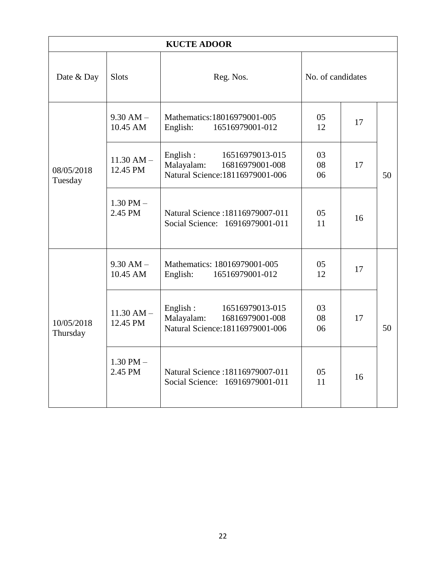| <b>KUCTE ADOOR</b>     |                            |                                                                                                  |                   |    |    |  |
|------------------------|----------------------------|--------------------------------------------------------------------------------------------------|-------------------|----|----|--|
| Date & Day             | <b>Slots</b>               | Reg. Nos.                                                                                        | No. of candidates |    |    |  |
| 08/05/2018<br>Tuesday  | $9.30$ AM $-$<br>10.45 AM  | Mathematics: 18016979001-005<br>English:<br>16516979001-012                                      | 05<br>12          | 17 |    |  |
|                        | $11.30$ AM $-$<br>12.45 PM | English:<br>16516979013-015<br>Malayalam:<br>16816979001-008<br>Natural Science: 18116979001-006 | 03<br>08<br>06    | 17 | 50 |  |
|                        | $1.30$ PM $-$<br>2.45 PM   | Natural Science: 18116979007-011<br>Social Science: 16916979001-011                              | 05<br>11          | 16 |    |  |
|                        | $9.30$ AM $-$<br>10.45 AM  | Mathematics: 18016979001-005<br>English:<br>16516979001-012                                      | 05<br>12          | 17 |    |  |
| 10/05/2018<br>Thursday | $11.30$ AM $-$<br>12.45 PM | English:<br>16516979013-015<br>Malayalam:<br>16816979001-008<br>Natural Science: 18116979001-006 | 03<br>08<br>06    | 17 | 50 |  |
|                        | $1.30$ PM $-$<br>2.45 PM   | Natural Science: 18116979007-011<br>Social Science: 16916979001-011                              | 05<br>11          | 16 |    |  |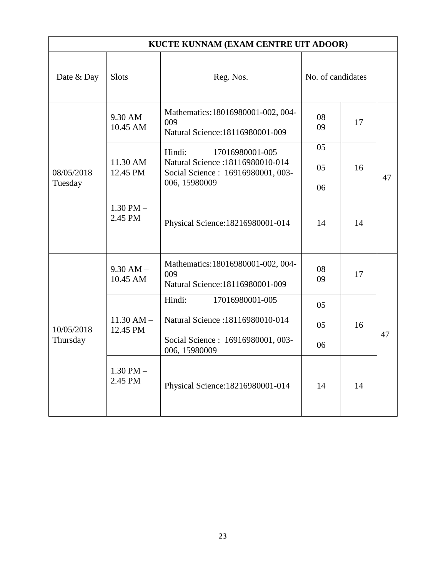| KUCTE KUNNAM (EXAM CENTRE UIT ADOOR) |                            |                                                                                                                     |                   |    |    |  |  |
|--------------------------------------|----------------------------|---------------------------------------------------------------------------------------------------------------------|-------------------|----|----|--|--|
| Date & Day                           | <b>Slots</b>               | Reg. Nos.                                                                                                           | No. of candidates |    |    |  |  |
| 08/05/2018<br>Tuesday                | $9.30$ AM $-$<br>10.45 AM  | Mathematics: 18016980001-002, 004-<br>009<br>Natural Science: 18116980001-009                                       | 08<br>09          | 17 |    |  |  |
|                                      | $11.30$ AM $-$<br>12.45 PM | Hindi:<br>17016980001-005<br>Natural Science: 18116980010-014<br>Social Science: 16916980001, 003-<br>006, 15980009 | 05<br>05<br>06    | 16 | 47 |  |  |
|                                      | $1.30$ PM $-$<br>2.45 PM   | Physical Science: 18216980001-014                                                                                   | 14                | 14 |    |  |  |
|                                      | $9.30$ AM $-$<br>10.45 AM  | Mathematics: 18016980001-002, 004-<br>009<br>Natural Science: 18116980001-009                                       | 08<br>09          | 17 |    |  |  |
|                                      |                            | Hindi:<br>17016980001-005                                                                                           | 05                |    |    |  |  |
| 10/05/2018                           | $11.30 AM -$<br>12.45 PM   | Natural Science: 18116980010-014                                                                                    | 05                | 16 |    |  |  |
| Thursday                             |                            | Social Science: 16916980001, 003-<br>006, 15980009                                                                  | 06                |    | 47 |  |  |
|                                      | $1.30$ PM $-$<br>2.45 PM   | Physical Science: 18216980001-014                                                                                   | 14                | 14 |    |  |  |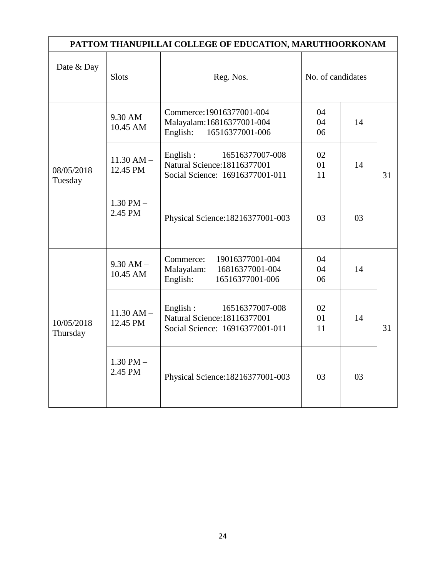| PATTOM THANUPILLAI COLLEGE OF EDUCATION, MARUTHOORKONAM |                            |                                                                                                |                   |    |    |  |  |  |
|---------------------------------------------------------|----------------------------|------------------------------------------------------------------------------------------------|-------------------|----|----|--|--|--|
| Date & Day                                              | <b>Slots</b>               | Reg. Nos.                                                                                      | No. of candidates |    |    |  |  |  |
| 08/05/2018<br>Tuesday                                   | $9.30$ AM $-$<br>10.45 AM  | Commerce: 19016377001-004<br>Malayalam:16816377001-004<br>16516377001-006<br>English:          | 04<br>04<br>06    | 14 |    |  |  |  |
|                                                         | $11.30$ AM $-$<br>12.45 PM | English:<br>16516377007-008<br>Natural Science: 18116377001<br>Social Science: 16916377001-011 | 02<br>01<br>11    | 14 | 31 |  |  |  |
|                                                         | $1.30$ PM $-$<br>2.45 PM   | Physical Science: 18216377001-003                                                              | 03                | 03 |    |  |  |  |
|                                                         | $9.30$ AM $-$<br>10.45 AM  | 19016377001-004<br>Commerce:<br>16816377001-004<br>Malayalam:<br>English:<br>16516377001-006   | 04<br>04<br>06    | 14 |    |  |  |  |
| 10/05/2018<br>Thursday                                  | $11.30$ AM $-$<br>12.45 PM | English:<br>16516377007-008<br>Natural Science: 18116377001<br>Social Science: 16916377001-011 | 02<br>01<br>11    | 14 | 31 |  |  |  |
|                                                         | $1.30$ PM $-$<br>2.45 PM   | Physical Science: 18216377001-003                                                              | 03                | 03 |    |  |  |  |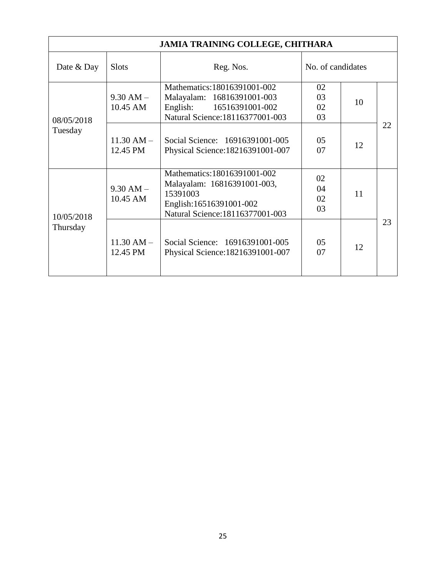| <b>JAMIA TRAINING COLLEGE, CHITHARA</b> |                            |                                                                                                                                        |                      |    |    |  |  |  |
|-----------------------------------------|----------------------------|----------------------------------------------------------------------------------------------------------------------------------------|----------------------|----|----|--|--|--|
| Date & Day                              | <b>Slots</b>               | Reg. Nos.                                                                                                                              | No. of candidates    |    |    |  |  |  |
| 08/05/2018<br>Tuesday                   | $9.30$ AM $-$<br>10.45 AM  | Mathematics: 18016391001-002<br>Malayalam: 16816391001-003<br>English: 16516391001-002<br>Natural Science: 18116377001-003             | 02<br>03<br>02<br>03 | 10 |    |  |  |  |
|                                         | $11.30$ AM $-$<br>12.45 PM | Social Science: 16916391001-005<br>Physical Science: 18216391001-007                                                                   | 05<br>07             | 12 | 22 |  |  |  |
| 10/05/2018<br>Thursday                  | $9.30$ AM $-$<br>10.45 AM  | Mathematics: 18016391001-002<br>Malayalam: 16816391001-003,<br>15391003<br>English:16516391001-002<br>Natural Science: 18116377001-003 | 02<br>04<br>02<br>03 | 11 |    |  |  |  |
|                                         | $11.30$ AM $-$<br>12.45 PM | Social Science: 16916391001-005<br>Physical Science: 18216391001-007                                                                   | 05<br>07             | 12 | 23 |  |  |  |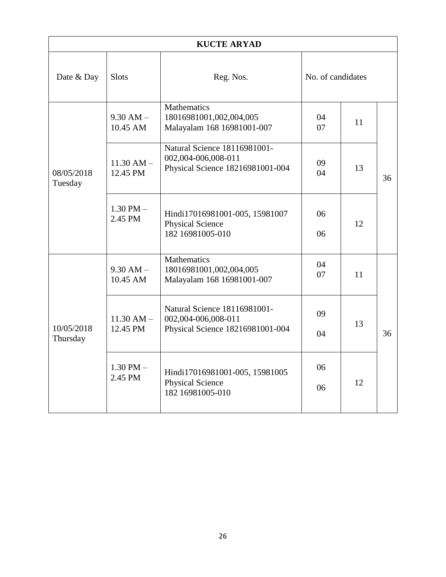| <b>KUCTE ARYAD</b>     |                            |                                                                                         |                   |    |    |  |  |  |
|------------------------|----------------------------|-----------------------------------------------------------------------------------------|-------------------|----|----|--|--|--|
| Date & Day             | <b>Slots</b>               | Reg. Nos.                                                                               | No. of candidates |    |    |  |  |  |
| 08/05/2018<br>Tuesday  | $9.30$ AM $-$<br>10.45 AM  | <b>Mathematics</b><br>18016981001,002,004,005<br>Malayalam 168 16981001-007             | 04<br>07          | 11 |    |  |  |  |
|                        | $11.30$ AM $-$<br>12.45 PM | Natural Science 18116981001-<br>002,004-006,008-011<br>Physical Science 18216981001-004 | 09<br>04          | 13 | 36 |  |  |  |
|                        | $1.30$ PM $-$<br>2.45 PM   | Hindi17016981001-005, 15981007<br><b>Physical Science</b><br>182 16981005-010           | 06<br>06          | 12 |    |  |  |  |
|                        | $9.30$ AM $-$<br>10.45 AM  | Mathematics<br>18016981001,002,004,005<br>Malayalam 168 16981001-007                    | 04<br>07          | 11 |    |  |  |  |
| 10/05/2018<br>Thursday | $11.30$ AM $-$<br>12.45 PM | Natural Science 18116981001-<br>002,004-006,008-011<br>Physical Science 18216981001-004 | 09<br>04          | 13 | 36 |  |  |  |
|                        | $1.30$ PM $-$<br>2.45 PM   | Hindi17016981001-005, 15981005<br><b>Physical Science</b><br>182 1698 1005-010          | 06<br>06          | 12 |    |  |  |  |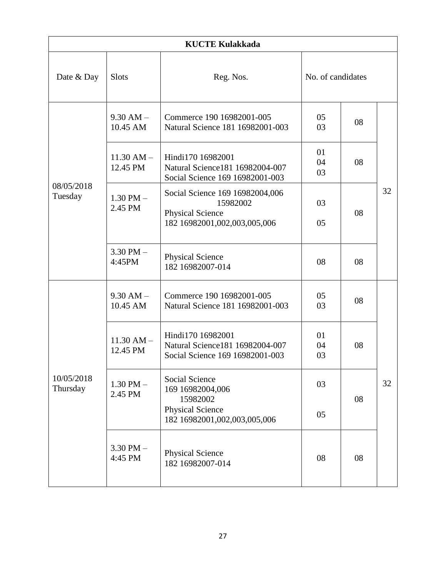| <b>KUCTE Kulakkada</b> |                            |                                                                                                        |                   |    |    |  |  |  |  |
|------------------------|----------------------------|--------------------------------------------------------------------------------------------------------|-------------------|----|----|--|--|--|--|
| Date & Day             | <b>Slots</b>               | Reg. Nos.                                                                                              | No. of candidates |    |    |  |  |  |  |
|                        | $9.30$ AM $-$<br>10.45 AM  | Commerce 190 16982001-005<br>Natural Science 181 16982001-003                                          | 05<br>03          | 08 |    |  |  |  |  |
|                        | $11.30$ AM $-$<br>12.45 PM | Hindi170 16982001<br>Natural Science181 16982004-007<br>Social Science 169 16982001-003                | 01<br>04<br>03    | 08 |    |  |  |  |  |
| 08/05/2018<br>Tuesday  | $1.30$ PM $-$<br>2.45 PM   | Social Science 169 16982004,006<br>15982002<br><b>Physical Science</b><br>182 16982001,002,003,005,006 | 03<br>05          | 08 | 32 |  |  |  |  |
|                        | $3.30$ PM $-$<br>4:45PM    | <b>Physical Science</b><br>182 16982007-014                                                            | 08                | 08 |    |  |  |  |  |
|                        | $9.30$ AM $-$<br>10.45 AM  | Commerce 190 16982001-005<br>Natural Science 181 16982001-003                                          | 05<br>03          | 08 |    |  |  |  |  |
|                        | $11.30$ AM $-$<br>12.45 PM | Hindi170 16982001<br>Natural Science181 16982004-007<br>Social Science 169 16982001-003                | 01<br>04<br>03    | 08 |    |  |  |  |  |
| 10/05/2018<br>Thursday | $1.30$ PM $-$<br>2.45 PM   | Social Science<br>169 16982004,006<br>15982002<br><b>Physical Science</b>                              | 03<br>05          | 08 | 32 |  |  |  |  |
|                        | $3.30$ PM $-$<br>4:45 PM   | 182 16982001,002,003,005,006<br>Physical Science<br>182 16982007-014                                   | 08                | 08 |    |  |  |  |  |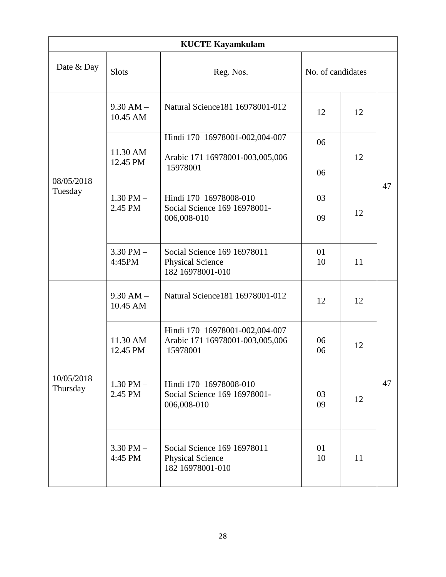| <b>KUCTE Kayamkulam</b> |                            |                                                                               |                   |    |    |  |  |  |  |
|-------------------------|----------------------------|-------------------------------------------------------------------------------|-------------------|----|----|--|--|--|--|
| Date & Day              | <b>Slots</b>               | Reg. Nos.                                                                     | No. of candidates |    |    |  |  |  |  |
| 08/05/2018<br>Tuesday   | $9.30$ AM $-$<br>10.45 AM  | Natural Science181 16978001-012                                               | 12                | 12 |    |  |  |  |  |
|                         | $11.30$ AM $-$<br>12.45 PM | Hindi 170 16978001-002,004-007<br>Arabic 171 16978001-003,005,006<br>15978001 | 06<br>06          | 12 |    |  |  |  |  |
|                         | $1.30$ PM $-$<br>2.45 PM   | Hindi 170 16978008-010<br>Social Science 169 16978001-<br>006,008-010         | 03<br>09          | 12 | 47 |  |  |  |  |
|                         | $3.30$ PM $-$<br>4:45PM    | Social Science 169 16978011<br><b>Physical Science</b><br>182 16978001-010    | 01<br>10          | 11 |    |  |  |  |  |
|                         | $9.30$ AM $-$<br>10.45 AM  | Natural Science181 16978001-012                                               | 12                | 12 |    |  |  |  |  |
|                         | $11.30$ AM $-$<br>12.45 PM | Hindi 170 16978001-002,004-007<br>Arabic 171 16978001-003,005,006<br>15978001 | 06<br>06          | 12 |    |  |  |  |  |
| 10/05/2018<br>Thursday  | $1.30$ PM $-$<br>2.45 PM   | Hindi 170 16978008-010<br>Social Science 169 16978001-<br>006,008-010         | 03<br>09          | 12 | 47 |  |  |  |  |
|                         | $3.30$ PM $-$<br>4:45 PM   | Social Science 169 16978011<br><b>Physical Science</b><br>182 16978001-010    | 01<br>10          | 11 |    |  |  |  |  |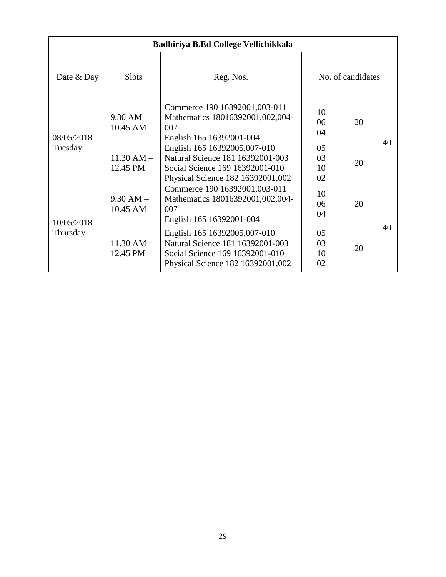| Badhiriya B.Ed College Vellichikkala |                            |                                                                                                                                          |                      |    |    |  |  |  |
|--------------------------------------|----------------------------|------------------------------------------------------------------------------------------------------------------------------------------|----------------------|----|----|--|--|--|
| Date & Day                           | <b>Slots</b>               | Reg. Nos.                                                                                                                                | No. of candidates    |    |    |  |  |  |
| 08/05/2018                           | $9.30$ AM $-$<br>10.45 AM  | Commerce 190 16392001,003-011<br>Mathematics 18016392001,002,004-<br>007<br>English 165 16392001-004                                     | 10<br>06<br>04       | 20 | 40 |  |  |  |
| Tuesday                              | $11.30 AM -$<br>12.45 PM   | English 165 16392005,007-010<br>Natural Science 181 16392001-003<br>Social Science 169 16392001-010<br>Physical Science 182 16392001,002 | 05<br>03<br>10<br>02 | 20 |    |  |  |  |
| 10/05/2018<br>Thursday               | $9.30$ AM $-$<br>10.45 AM  | Commerce 190 16392001,003-011<br>Mathematics 18016392001,002,004-<br>007<br>English 165 16392001-004                                     | 10<br>06<br>04       | 20 |    |  |  |  |
|                                      | $11.30$ AM $-$<br>12.45 PM | English 165 16392005,007-010<br>Natural Science 181 16392001-003<br>Social Science 169 16392001-010<br>Physical Science 182 16392001,002 | 05<br>03<br>10<br>02 | 20 | 40 |  |  |  |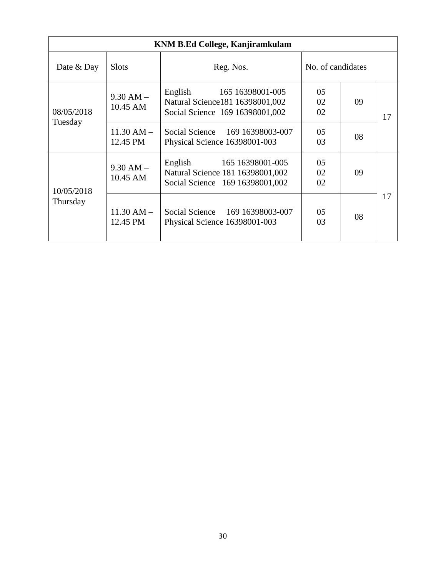| <b>KNM B.Ed College, Kanjiramkulam</b> |                            |                                                                                                 |                            |    |    |  |  |  |
|----------------------------------------|----------------------------|-------------------------------------------------------------------------------------------------|----------------------------|----|----|--|--|--|
| Date & Day                             | <b>Slots</b>               | Reg. Nos.                                                                                       | No. of candidates          |    |    |  |  |  |
| 08/05/2018<br>Tuesday                  | $9.30$ AM $-$<br>10.45 AM  | English 165 16398001-005<br>Natural Science 181 16398001,002<br>Social Science 169 16398001,002 | 0 <sub>5</sub><br>02<br>02 | 09 | 17 |  |  |  |
|                                        | $11.30$ AM $-$<br>12.45 PM | Social Science 169 16398003-007<br>Physical Science 16398001-003                                | 05<br>03                   | 08 |    |  |  |  |
| 10/05/2018<br>Thursday                 | $9.30$ AM $-$<br>10.45 AM  | English 165 16398001-005<br>Natural Science 181 16398001,002<br>Social Science 169 16398001,002 | 0.5<br>02<br>02            | 09 |    |  |  |  |
|                                        | $11.30$ AM $-$<br>12.45 PM | Social Science 169 16398003-007<br>Physical Science 16398001-003                                | 05<br>03                   | 08 | 17 |  |  |  |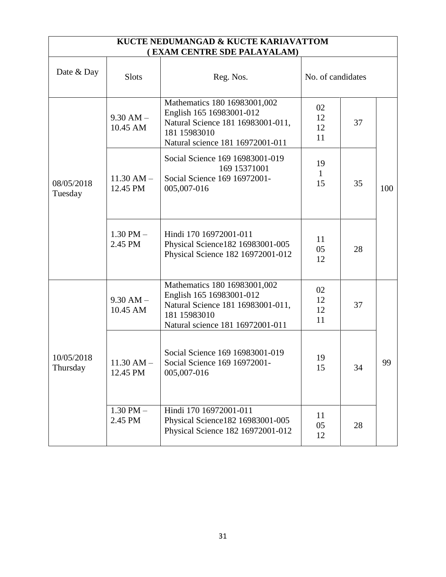| KUCTE NEDUMANGAD & KUCTE KARIAVATTOM<br>(EXAM CENTRE SDE PALAYALAM) |                            |                                                                                                                                                   |                          |    |     |  |  |  |
|---------------------------------------------------------------------|----------------------------|---------------------------------------------------------------------------------------------------------------------------------------------------|--------------------------|----|-----|--|--|--|
| Date & Day                                                          | <b>Slots</b>               | Reg. Nos.                                                                                                                                         | No. of candidates        |    |     |  |  |  |
|                                                                     | $9.30 AM -$<br>10.45 AM    | Mathematics 180 16983001,002<br>English 165 16983001-012<br>Natural Science 181 16983001-011,<br>181 15983010<br>Natural science 181 16972001-011 | 02<br>12<br>12<br>11     | 37 |     |  |  |  |
| 08/05/2018<br>Tuesday                                               | $11.30$ AM $-$<br>12.45 PM | Social Science 169 16983001-019<br>169 15371001<br>Social Science 169 16972001-<br>005,007-016                                                    | 19<br>$\mathbf{1}$<br>15 | 35 | 100 |  |  |  |
|                                                                     | $1.30$ PM $-$<br>2.45 PM   | Hindi 170 16972001-011<br>Physical Science182 16983001-005<br>Physical Science 182 16972001-012                                                   | 11<br>05<br>12           | 28 |     |  |  |  |
| 10/05/2018<br>Thursday                                              | $9.30$ AM $-$<br>10.45 AM  | Mathematics 180 16983001,002<br>English 165 16983001-012<br>Natural Science 181 16983001-011,<br>181 15983010<br>Natural science 181 16972001-011 | 02<br>12<br>12<br>11     | 37 |     |  |  |  |
|                                                                     | 11.30 AM<br>12.45 PM       | Social Science 169 16983001-019<br>Social Science 169 16972001-<br>005,007-016                                                                    | 19<br>15                 | 34 | 99  |  |  |  |
|                                                                     | $1.30$ PM $-$<br>2.45 PM   | Hindi 170 16972001-011<br>Physical Science182 16983001-005<br>Physical Science 182 16972001-012                                                   | 11<br>05<br>12           | 28 |     |  |  |  |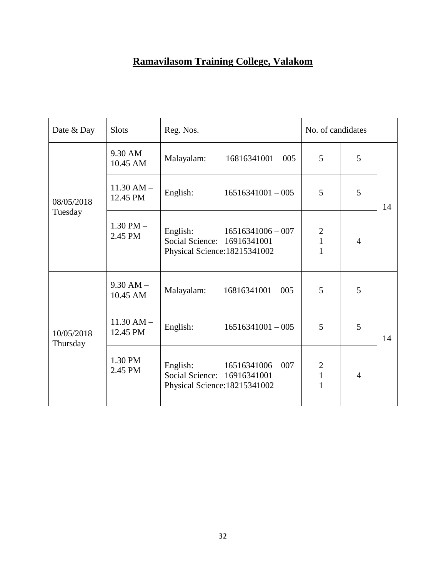# **Ramavilasom Training College, Valakom**

| Date & Day            | <b>Slots</b>               | Reg. Nos.                                                                |                     | No. of candidates                                     |                |    |
|-----------------------|----------------------------|--------------------------------------------------------------------------|---------------------|-------------------------------------------------------|----------------|----|
| 08/05/2018<br>Tuesday | $9.30$ AM $-$<br>10.45 AM  | Malayalam:                                                               | $16816341001 - 005$ | 5                                                     | 5              |    |
|                       | $11.30$ AM $-$<br>12.45 PM | English:                                                                 | $16516341001 - 005$ | 5                                                     | 5              | 14 |
|                       | $1.30$ PM $-$<br>2.45 PM   | English:<br>Social Science: 16916341001<br>Physical Science: 18215341002 | $16516341006 - 007$ | $\overline{2}$<br>$\overline{1}$<br>$\mathbf{1}$      | $\overline{4}$ |    |
|                       | $9.30 AM -$<br>10.45 AM    | Malayalam:                                                               | $16816341001 - 005$ | 5                                                     | 5              |    |
| 10/05/2018            | $11.30$ AM $-$<br>12.45 PM | English:                                                                 | $16516341001 - 005$ | 5                                                     | 5              | 14 |
| Thursday              | $1.30$ PM $-$<br>2.45 PM   | English:<br>Social Science: 16916341001<br>Physical Science: 18215341002 | $16516341006 - 007$ | $\begin{array}{c} 2 \\ 1 \end{array}$<br>$\mathbf{1}$ | $\overline{4}$ |    |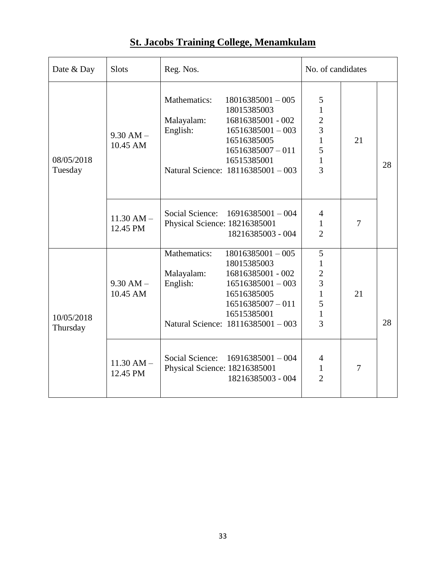| Date & Day             | <b>Slots</b>               | Reg. Nos.                                                                                                                                                                                                           | No. of candidates                                                                                           |
|------------------------|----------------------------|---------------------------------------------------------------------------------------------------------------------------------------------------------------------------------------------------------------------|-------------------------------------------------------------------------------------------------------------|
| 08/05/2018<br>Tuesday  | $9.30$ AM $-$<br>10.45 AM  | Mathematics:<br>$18016385001 - 005$<br>18015385003<br>Malayalam:<br>16816385001 - 002<br>English:<br>$16516385001 - 003$<br>16516385005<br>$16516385007 - 011$<br>16515385001<br>Natural Science: 18116385001 - 003 | 5<br>$\mathbf{1}$<br>$\overline{2}$<br>$\overline{3}$<br>$\mathbf{1}$<br>21<br>5<br>$\mathbf{1}$<br>28<br>3 |
|                        | $11.30$ AM $-$<br>12.45 PM | Social Science: $16916385001 - 004$<br>Physical Science: 18216385001<br>18216385003 - 004                                                                                                                           | 4<br>$\tau$<br>1<br>$\overline{2}$                                                                          |
| 10/05/2018<br>Thursday | $9.30$ AM $-$<br>10.45 AM  | Mathematics:<br>$18016385001 - 005$<br>18015385003<br>Malayalam:<br>16816385001 - 002<br>English:<br>$16516385001 - 003$<br>16516385005<br>$16516385007 - 011$<br>16515385001<br>Natural Science: 18116385001 - 003 | 5<br>1<br>$\overline{c}$<br>$\overline{3}$<br>$\mathbf{1}$<br>21<br>5<br>$\mathbf{1}$<br>28<br>3            |
|                        | $11.30$ AM $-$<br>12.45 PM | Social Science:<br>$16916385001 - 004$<br>Physical Science: 18216385001<br>18216385003 - 004                                                                                                                        | 4<br>$\mathbf{1}$<br>$\overline{7}$<br>$\overline{2}$                                                       |

# **St. Jacobs Training College, Menamkulam**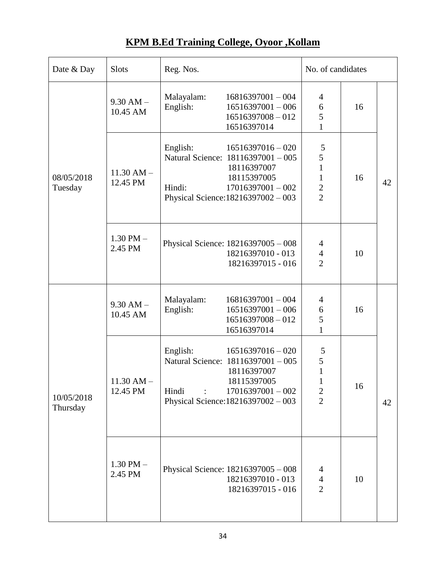| Date & Day             | <b>Slots</b>               | Reg. Nos.                                        |                                                                                                                                                         | No. of candidates                                                          |    |    |
|------------------------|----------------------------|--------------------------------------------------|---------------------------------------------------------------------------------------------------------------------------------------------------------|----------------------------------------------------------------------------|----|----|
| 08/05/2018<br>Tuesday  | $9.30$ AM $-$<br>10.45 AM  | Malayalam:<br>English:                           | $16816397001 - 004$<br>$16516397001 - 006$<br>$16516397008 - 012$<br>16516397014                                                                        | $\overline{4}$<br>6<br>5<br>$\mathbf{1}$                                   | 16 |    |
|                        | $11.30$ AM $-$<br>12.45 PM | English:<br>Hindi:                               | $16516397016 - 020$<br>Natural Science: 18116397001 - 005<br>18116397007<br>18115397005<br>$17016397001 - 002$<br>Physical Science: $18216397002 - 003$ | 5<br>5<br>$\mathbf 1$<br>$\mathbf 1$<br>$\frac{2}{2}$                      | 16 | 42 |
|                        | $1.30$ PM $-$<br>2.45 PM   |                                                  | Physical Science: 18216397005 - 008<br>18216397010 - 013<br>18216397015 - 016                                                                           | $\overline{\mathcal{A}}$<br>$\frac{4}{2}$                                  | 10 |    |
|                        | $9.30$ AM $-$<br>10.45 AM  | Malayalam:<br>English:                           | $16816397001 - 004$<br>$16516397001 - 006$<br>$16516397008 - 012$<br>16516397014                                                                        | $\overline{4}$<br>6<br>5<br>$\mathbf{1}$                                   | 16 |    |
| 10/05/2018<br>Thursday | $11.30 AM -$<br>12.45 PM   | English:<br>Hindi<br>$\mathcal{L} = \mathcal{L}$ | $16516397016 - 020$<br>Natural Science: 18116397001 - 005<br>18116397007<br>18115397005<br>$17016397001 - 002$<br>Physical Science: 18216397002 - 003   | 5<br>5<br>$\overline{1}$<br>$\mathbf{1}$<br>$\mathbf{2}$<br>$\overline{2}$ | 16 | 42 |
|                        | $1.30$ PM $-$<br>2.45 PM   |                                                  | Physical Science: 18216397005 - 008<br>18216397010 - 013<br>18216397015 - 016                                                                           | 4<br>$\overline{4}$<br>$\overline{2}$                                      | 10 |    |

# **KPM B.Ed Training College, Oyoor ,Kollam**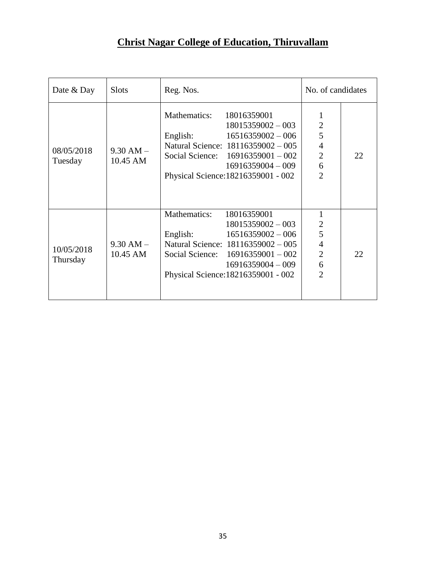# **Christ Nagar College of Education, Thiruvallam**

| Date & Day             | <b>Slots</b>              | Reg. Nos.                                                                                                                                                                                                                        | No. of candidates                                                                         |    |
|------------------------|---------------------------|----------------------------------------------------------------------------------------------------------------------------------------------------------------------------------------------------------------------------------|-------------------------------------------------------------------------------------------|----|
| 08/05/2018<br>Tuesday  | $9.30$ AM $-$<br>10.45 AM | Mathematics:<br>18016359001<br>$18015359002 - 003$<br>$16516359002 - 006$<br>English:<br>Natural Science: 18116359002 - 005<br>Social Science: $16916359001 - 002$<br>$16916359004 - 009$<br>Physical Science: 18216359001 - 002 | $\overline{2}$<br>5<br>$\overline{4}$<br>$\mathbf{2}$<br>$\overline{6}$<br>$\overline{2}$ | 22 |
| 10/05/2018<br>Thursday | $9.30$ AM $-$<br>10.45 AM | Mathematics:<br>18016359001<br>$18015359002 - 003$<br>English:<br>$16516359002 - 006$<br>Natural Science: 18116359002 - 005<br>Social Science: $16916359001 - 002$<br>$16916359004 - 009$<br>Physical Science: 18216359001 - 002 | $\overline{2}$<br>5<br>$\overline{4}$<br>$\overline{2}$<br>6<br>$\overline{2}$            | 22 |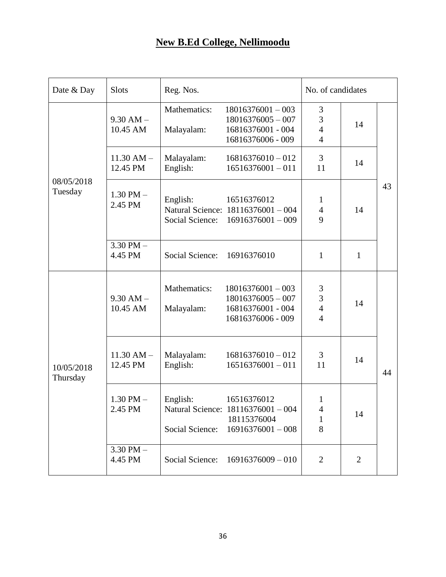# **New B.Ed College, Nellimoodu**

| Date & Day             | <b>Slots</b>               | Reg. Nos.                   |                                                                                       | No. of candidates                                                    |                |    |
|------------------------|----------------------------|-----------------------------|---------------------------------------------------------------------------------------|----------------------------------------------------------------------|----------------|----|
| 08/05/2018<br>Tuesday  | $9.30$ AM $-$<br>10.45 AM  | Mathematics:<br>Malayalam:  | $18016376001 - 003$<br>$18016376005 - 007$<br>16816376001 - 004<br>16816376006 - 009  | 3<br>$\mathfrak{Z}$<br>$\overline{4}$<br>$\overline{4}$              | 14             |    |
|                        | $11.30$ AM $-$<br>12.45 PM | Malayalam:<br>English:      | $16816376010 - 012$<br>$16516376001 - 011$                                            | 3<br>11                                                              | 14             |    |
|                        | $1.30$ PM $-$<br>2.45 PM   | English:<br>Social Science: | 16516376012<br>Natural Science: 18116376001 - 004<br>$16916376001 - 009$              | $\mathbf{1}$<br>$\overline{\mathcal{L}}$<br>9                        | 14             | 43 |
|                        | $3.30$ PM $-$<br>4.45 PM   | Social Science:             | 16916376010                                                                           | $\mathbf{1}$                                                         | $\mathbf{1}$   |    |
|                        | $9.30$ AM $-$<br>10.45 AM  | Mathematics:<br>Malayalam:  | $18016376001 - 003$<br>$18016376005 - 007$<br>16816376001 - 004<br>16816376006 - 009  | $\mathfrak{Z}$<br>$\overline{3}$<br>$\overline{4}$<br>$\overline{4}$ | 14             |    |
| 10/05/2018<br>Thursday | $11.30$ AM $-$<br>12.45 PM | Malayalam:<br>English:      | $16816376010 - 012$<br>$16516376001 - 011$                                            | 3<br>11                                                              | 14             | 44 |
|                        | $1.30$ PM $-$<br>2.45 PM   | English:<br>Social Science: | 16516376012<br>Natural Science: 18116376001-004<br>18115376004<br>$16916376001 - 008$ | $\mathbf{1}$<br>4<br>1<br>8                                          | 14             |    |
|                        | $3.30$ PM $-$<br>4.45 PM   | Social Science:             | $16916376009 - 010$                                                                   | $\overline{2}$                                                       | $\overline{2}$ |    |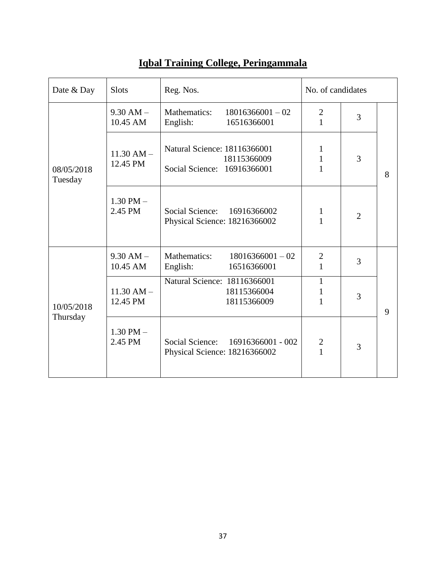| Date & Day             | <b>Slots</b>               | Reg. Nos.                                                                  | No. of candidates                           |                |   |
|------------------------|----------------------------|----------------------------------------------------------------------------|---------------------------------------------|----------------|---|
| 08/05/2018<br>Tuesday  | $9.30$ AM $-$<br>10.45 AM  | Mathematics:<br>$18016366001 - 02$<br>English:<br>16516366001              | $\overline{2}$<br>$\mathbf{1}$              | 3              |   |
|                        | $11.30$ AM $-$<br>12.45 PM | Natural Science: 18116366001<br>18115366009<br>Social Science: 16916366001 | $\mathbf 1$<br>$\mathbf{1}$<br>$\mathbf{1}$ | 3              | 8 |
|                        | $1.30$ PM $-$<br>2.45 PM   | Social Science:<br>16916366002<br>Physical Science: 18216366002            | $\mathbf{1}$<br>$\mathbf{1}$                | $\overline{2}$ |   |
|                        | $9.30$ AM $-$<br>10.45 AM  | Mathematics:<br>$18016366001 - 02$<br>English:<br>16516366001              | $\overline{2}$<br>$\mathbf{1}$              | 3              |   |
| 10/05/2018<br>Thursday | $11.30$ AM $-$<br>12.45 PM | Natural Science: 18116366001<br>18115366004<br>18115366009                 | $\mathbf{1}$<br>1<br>$\mathbf{1}$           | 3              | 9 |
|                        | $1.30$ PM $-$<br>2.45 PM   | Social Science:<br>16916366001 - 002<br>Physical Science: 18216366002      | $\frac{2}{1}$                               | 3              |   |

# **Iqbal Training College, Peringammala**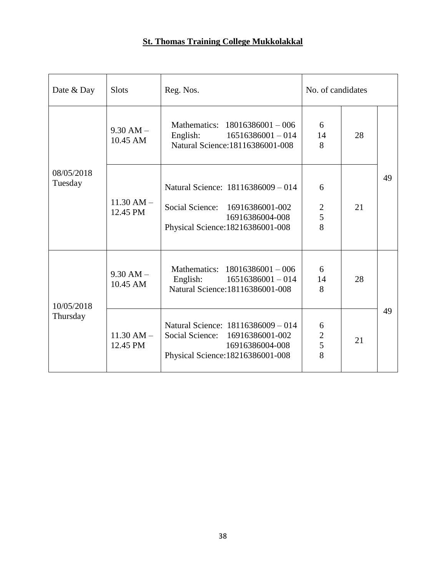# **St. Thomas Training College Mukkolakkal**

| Date & Day             | <b>Slots</b>               | Reg. Nos.                                                                                                                     | No. of candidates             |    |    |
|------------------------|----------------------------|-------------------------------------------------------------------------------------------------------------------------------|-------------------------------|----|----|
| 08/05/2018<br>Tuesday  | $9.30 AM -$<br>10.45 AM    | Mathematics: 18016386001 - 006<br>English:<br>$16516386001 - 014$<br>Natural Science: 18116386001-008                         | 6<br>14<br>8                  | 28 |    |
|                        | $11.30 AM -$<br>12.45 PM   | Natural Science: 18116386009 - 014<br>Social Science: 16916386001-002<br>16916386004-008<br>Physical Science: 18216386001-008 | 6<br>$\overline{2}$<br>5<br>8 | 21 | 49 |
| 10/05/2018<br>Thursday | $9.30 AM -$<br>10.45 AM    | Mathematics: 18016386001 - 006<br>English:<br>$16516386001 - 014$<br>Natural Science: 18116386001-008                         | 6<br>14<br>8                  | 28 |    |
|                        | $11.30$ AM $-$<br>12.45 PM | Natural Science: 18116386009 - 014<br>Social Science: 16916386001-002<br>16916386004-008<br>Physical Science: 18216386001-008 | 6<br>$\frac{2}{5}$<br>8       | 21 | 49 |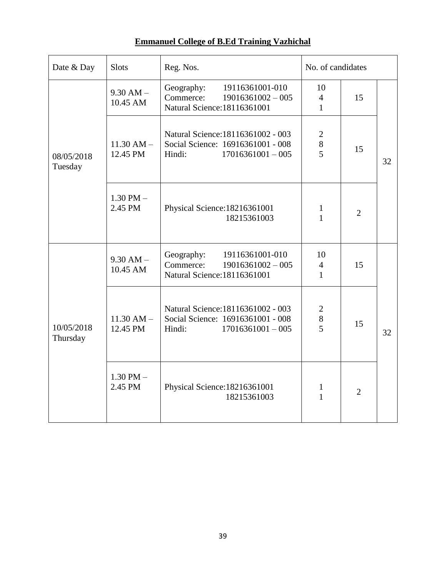# **Emmanuel College of B.Ed Training Vazhichal**

| Date & Day             | <b>Slots</b>               | Reg. Nos.                                                                                                | No. of candidates                     |                |    |
|------------------------|----------------------------|----------------------------------------------------------------------------------------------------------|---------------------------------------|----------------|----|
| 08/05/2018<br>Tuesday  | $9.30$ AM $-$<br>10.45 AM  | 19116361001-010<br>Geography:<br>Commerce:<br>$19016361002 - 005$<br>Natural Science: 18116361001        | 10<br>$\overline{4}$<br>$\mathbf{1}$  | 15             |    |
|                        | $11.30 AM -$<br>12.45 PM   | Natural Science: 18116361002 - 003<br>Social Science: 16916361001 - 008<br>Hindi:<br>$17016361001 - 005$ | $\overline{c}$<br>8<br>$\overline{5}$ | 15             | 32 |
|                        | $1.30$ PM $-$<br>2.45 PM   | Physical Science: 18216361001<br>18215361003                                                             | $\mathbf{1}$<br>$\mathbf{1}$          | $\overline{2}$ |    |
|                        | $9.30$ AM $-$<br>10.45 AM  | 19116361001-010<br>Geography:<br>Commerce:<br>$19016361002 - 005$<br>Natural Science: 18116361001        | 10<br>$\overline{4}$<br>$\mathbf{1}$  | 15             |    |
| 10/05/2018<br>Thursday | $11.30$ AM $-$<br>12.45 PM | Natural Science: 18116361002 - 003<br>Social Science: 16916361001 - 008<br>Hindi:<br>$17016361001 - 005$ | $\mathbf{2}$<br>8<br>5                | 15             | 32 |
|                        | $1.30$ PM $-$<br>2.45 PM   | Physical Science: 18216361001<br>18215361003                                                             | $\mathbf{1}$<br>$\mathbf{1}$          | $\overline{2}$ |    |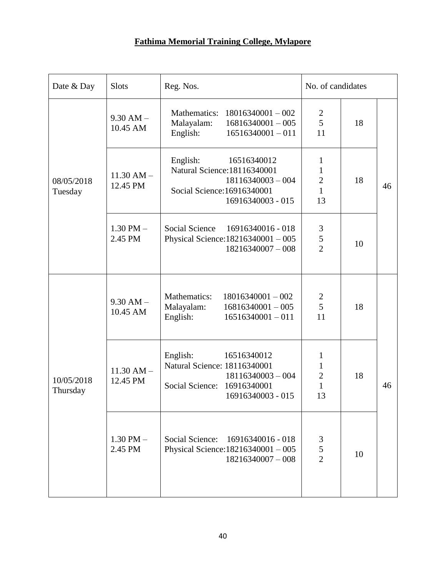# **Fathima Memorial Training College, Mylapore**

| Date & Day             | <b>Slots</b>               | Reg. Nos.                                                                                                                             | No. of candidates                                                    |    |    |
|------------------------|----------------------------|---------------------------------------------------------------------------------------------------------------------------------------|----------------------------------------------------------------------|----|----|
| 08/05/2018<br>Tuesday  | $9.30$ AM $-$<br>10.45 AM  | Mathematics:<br>$18016340001 - 002$<br>Malayalam:<br>$16816340001 - 005$<br>English:<br>$16516340001 - 011$                           | $\frac{2}{5}$<br>11                                                  | 18 |    |
|                        | $11.30$ AM $-$<br>12.45 PM | English:<br>16516340012<br>Natural Science: 18116340001<br>$18116340003 - 004$<br>Social Science: 16916340001<br>16916340003 - 015    | $\mathbf{1}$<br>$\frac{1}{2}$<br>$\mathbf{1}$<br>13                  | 18 | 46 |
|                        | $1.30$ PM $-$<br>2.45 PM   | Social Science<br>16916340016 - 018<br>Physical Science: 18216340001 - 005<br>$18216340007 - 008$                                     | 3<br>$\frac{5}{2}$                                                   | 10 |    |
|                        | $9.30$ AM $-$<br>10.45 AM  | Mathematics:<br>$18016340001 - 002$<br>Malayalam:<br>$16816340001 - 005$<br>English:<br>$16516340001 - 011$                           | $\frac{2}{5}$<br>11                                                  | 18 |    |
| 10/05/2018<br>Thursday | $11.30$ AM $-$<br>12.45 PM | English:<br>16516340012<br>Natural Science: 18116340001<br>$18116340003 - 004$<br>Social Science:<br>16916340001<br>16916340003 - 015 | $\mathbf{1}$<br>$\mathbf{1}$<br>$\overline{2}$<br>$\mathbf{1}$<br>13 | 18 | 46 |
|                        | $1.30$ PM $-$<br>2.45 PM   | Social Science: 16916340016 - 018<br>Physical Science: $18216340001 - 005$<br>$18216340007 - 008$                                     | 3<br>5<br>$\overline{2}$                                             | 10 |    |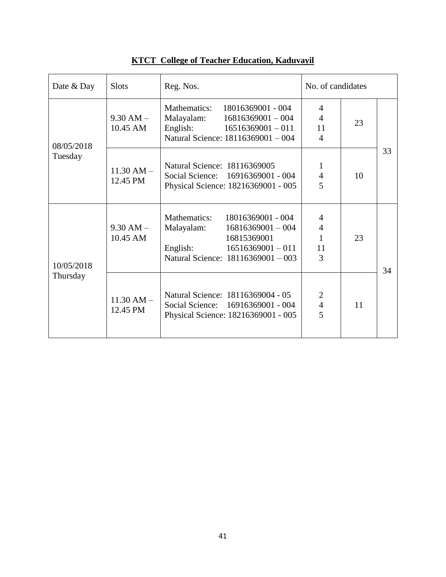| Date & Day             | <b>Slots</b>               | Reg. Nos.                                                                                                                                                      | No. of candidates                                           |    |    |
|------------------------|----------------------------|----------------------------------------------------------------------------------------------------------------------------------------------------------------|-------------------------------------------------------------|----|----|
| 08/05/2018<br>Tuesday  | $9.30$ AM $-$<br>10.45 AM  | Mathematics: 18016369001 - 004<br>Malayalam: 16816369001 - 004<br>English:<br>$16516369001 - 011$<br>Natural Science: 18116369001 - 004                        | 4<br>$\overline{4}$<br>11<br>$\overline{4}$                 | 23 |    |
|                        | $11.30$ AM $-$<br>12.45 PM | Natural Science: 18116369005<br>Social Science: 16916369001 - 004<br>Physical Science: 18216369001 - 005                                                       | 1<br>$\overline{4}$<br>5                                    | 10 | 33 |
| 10/05/2018<br>Thursday | $9.30$ AM $-$<br>10.45 AM  | Mathematics:<br>18016369001 - 004<br>$16816369001 - 004$<br>Malayalam:<br>16815369001<br>English:<br>$16516369001 - 011$<br>Natural Science: 18116369001 - 003 | $\overline{4}$<br>$\overline{4}$<br>$\mathbf{1}$<br>11<br>3 | 23 | 34 |
|                        | $11.30$ AM $-$<br>12.45 PM | Natural Science: 18116369004 - 05<br>Social Science: 16916369001 - 004<br>Physical Science: 18216369001 - 005                                                  | $\overline{c}$<br>$\overline{4}$<br>$\overline{5}$          | 11 |    |

**KTCT College of Teacher Education, Kaduvayil**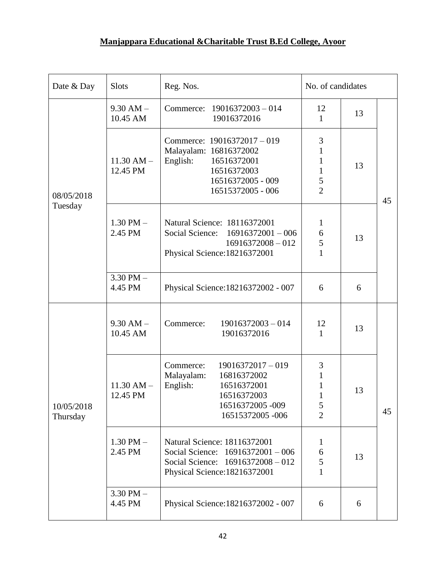# **Manjappara Educational &Charitable Trust B.Ed College, Ayoor**

| Date & Day             | <b>Slots</b>               | Reg. Nos.                                                                                                                                     | No. of candidates                                                                     |    |    |
|------------------------|----------------------------|-----------------------------------------------------------------------------------------------------------------------------------------------|---------------------------------------------------------------------------------------|----|----|
| 08/05/2018<br>Tuesday  | $9.30$ AM $-$<br>10.45 AM  | $19016372003 - 014$<br>Commerce:<br>19016372016                                                                                               | 12<br>$\mathbf{1}$                                                                    | 13 |    |
|                        | $11.30$ AM $-$<br>12.45 PM | Commerce: 19016372017 - 019<br>Malayalam: 16816372002<br>16516372001<br>English:<br>16516372003<br>16516372005 - 009<br>16515372005 - 006     | $\mathfrak{Z}$<br>$\mathbf{1}$<br>$\mathbf{1}$<br>$\mathbf{1}$<br>5<br>$\overline{2}$ | 13 | 45 |
|                        | $1.30$ PM $-$<br>2.45 PM   | Natural Science: 18116372001<br>Social Science: 16916372001 - 006<br>$16916372008 - 012$<br>Physical Science: 18216372001                     | $\mathbf{1}$<br>6<br>5<br>$\mathbf{1}$                                                | 13 |    |
|                        | $3.30$ PM $-$<br>4.45 PM   | Physical Science: 18216372002 - 007                                                                                                           | 6                                                                                     | 6  |    |
|                        | $9.30$ AM $-$<br>10.45 AM  | $19016372003 - 014$<br>Commerce:<br>19016372016                                                                                               | 12<br>$\mathbf{1}$                                                                    | 13 |    |
| 10/05/2018<br>Thursday | $11.30$ AM $-$<br>12.45 PM | 19016372017 - 019<br>Commerce:<br>Malayalam:<br>16816372002<br>16516372001<br>English:<br>16516372003<br>16516372005 -009<br>16515372005 -006 | 3<br>$\mathbf{1}$<br>$\mathbf{1}$<br>1<br>5<br>$\overline{2}$                         | 13 | 45 |
|                        | $1.30$ PM $-$<br>2.45 PM   | Natural Science: 18116372001<br>Social Science: $16916372001 - 006$<br>Social Science: 16916372008 - 012<br>Physical Science: 18216372001     | $\mathbf{1}$<br>6<br>5<br>$\mathbf{1}$                                                | 13 |    |
|                        | $3.30$ PM $-$<br>4.45 PM   | Physical Science: 18216372002 - 007                                                                                                           | 6                                                                                     | 6  |    |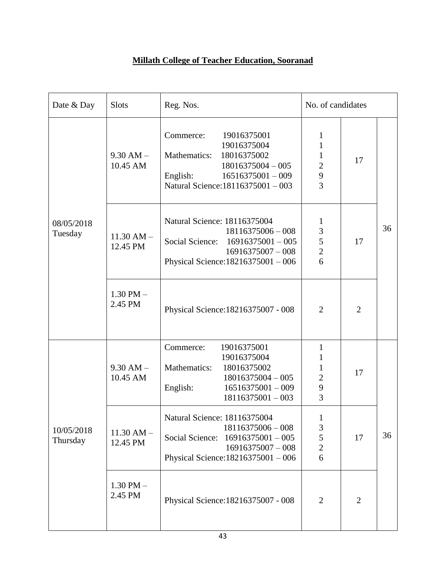### **Millath College of Teacher Education, Sooranad**

| Date & Day             | <b>Slots</b>               | Reg. Nos.                                                                                                                                                              | No. of candidates                                                               |                |    |
|------------------------|----------------------------|------------------------------------------------------------------------------------------------------------------------------------------------------------------------|---------------------------------------------------------------------------------|----------------|----|
| 08/05/2018<br>Tuesday  | $9.30$ AM $-$<br>10.45 AM  | Commerce:<br>19016375001<br>19016375004<br>Mathematics:<br>18016375002<br>$18016375004 - 005$<br>English:<br>$16516375001 - 009$<br>Natural Science: 18116375001 - 003 | $\mathbf{1}$<br>$\mathbf{1}$<br>$\mathbf{1}$<br>$\overline{c}$<br>$\frac{9}{3}$ | 17             |    |
|                        | $11.30$ AM $-$<br>12.45 PM | Natural Science: 18116375004<br>$18116375006 - 008$<br>Social Science:<br>$16916375001 - 005$<br>$16916375007 - 008$<br>Physical Science: 18216375001 - 006            | $\mathbf{1}$<br>3<br>5<br>$\overline{c}$<br>6                                   | 17             | 36 |
|                        | $1.30$ PM $-$<br>2.45 PM   | Physical Science: 18216375007 - 008                                                                                                                                    | $\overline{2}$                                                                  | $\overline{2}$ |    |
| 10/05/2018<br>Thursday | $9.30$ AM $-$<br>10.45 AM  | 19016375001<br>Commerce:<br>19016375004<br>Mathematics:<br>18016375002<br>$18016375004 - 005$<br>$16516375001 - 009$<br>English:<br>$18116375001 - 003$                | 1<br>1<br>$\mathbf{1}$<br>$\overline{2}$<br>9<br>3                              | 17             |    |
|                        | $11.30 AM -$<br>12.45 PM   | Natural Science: 18116375004<br>$18116375006 - 008$<br>Social Science:<br>$16916375001 - 005$<br>$16916375007 - 008$<br>Physical Science: 18216375001 - 006            | $\mathbf{1}$<br>$\mathfrak{Z}$<br>5<br>$\overline{c}$<br>6                      | 17             | 36 |
|                        | $1.30$ PM $-$<br>2.45 PM   | Physical Science: 18216375007 - 008                                                                                                                                    | $\overline{2}$                                                                  | $\overline{2}$ |    |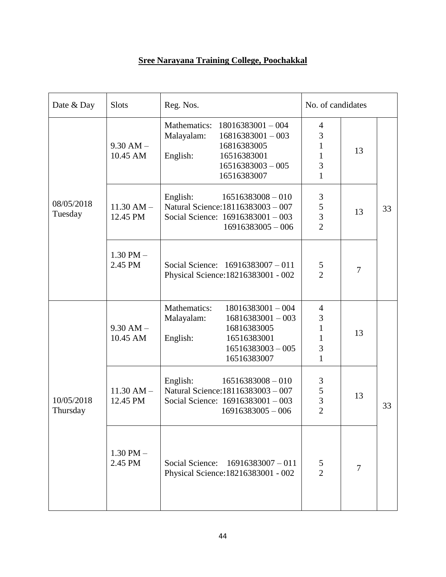### **Sree Narayana Training College, Poochakkal**

| Date & Day             | <b>Slots</b>               | Reg. Nos.                                                                                                                                                | No. of candidates                                                        |                |    |
|------------------------|----------------------------|----------------------------------------------------------------------------------------------------------------------------------------------------------|--------------------------------------------------------------------------|----------------|----|
| 08/05/2018<br>Tuesday  | $9.30$ AM $-$<br>10.45 AM  | Mathematics: 18016383001 - 004<br>Malayalam:<br>$16816383001 - 003$<br>16816383005<br>English:<br>16516383001<br>$16516383003 - 005$<br>16516383007      | $\overline{4}$<br>3<br>$\mathbf{1}$<br>$\mathbf{1}$<br>3<br>$\mathbf{1}$ | 13             |    |
|                        | $11.30$ AM $-$<br>12.45 PM | English:<br>$16516383008 - 010$<br>Natural Science: 18116383003 - 007<br>Social Science: 16916383001 - 003<br>$16916383005 - 006$                        | $\mathfrak{Z}$<br>$rac{5}{3}$<br>$\overline{2}$                          | 13             | 33 |
|                        | $1.30$ PM $-$<br>2.45 PM   | Social Science: 16916383007 - 011<br>Physical Science: 18216383001 - 002                                                                                 | 5<br>$\overline{2}$                                                      | $\overline{7}$ |    |
|                        | $9.30$ AM $-$<br>10.45 AM  | Mathematics:<br>$18016383001 - 004$<br>Malayalam:<br>$16816383001 - 003$<br>16816383005<br>16516383001<br>English:<br>$16516383003 - 005$<br>16516383007 | $\overline{4}$<br>3<br>$\mathbf{1}$<br>$\mathbf{1}$<br>3<br>$\mathbf{1}$ | 13             |    |
| 10/05/2018<br>Thursday | $11.30$ AM $-$<br>12.45 PM | English:<br>$16516383008 - 010$<br>Natural Science: 18116383003 - 007<br>Social Science: 16916383001 - 003<br>$16916383005 - 006$                        | $\mathfrak{Z}$<br>$rac{5}{3}$<br>$\overline{2}$                          | 13             | 33 |
|                        | $1.30$ PM $-$<br>2.45 PM   | Social Science: $16916383007 - 011$<br>Physical Science: 18216383001 - 002                                                                               | 5<br>$\overline{2}$                                                      | $\overline{7}$ |    |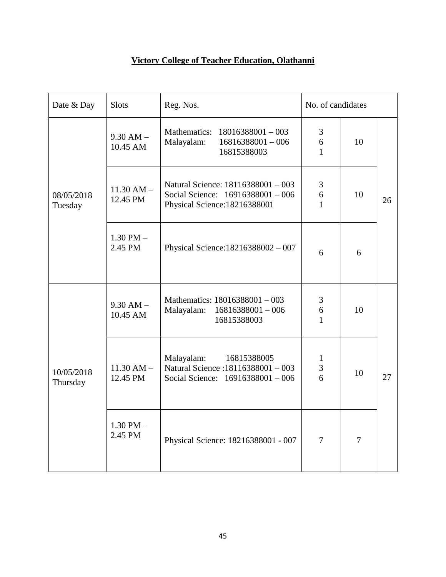### **Victory College of Teacher Education, Olathanni**

| Date & Day             | <b>Slots</b>               | Reg. Nos.                                                                                                | No. of candidates      |                |    |
|------------------------|----------------------------|----------------------------------------------------------------------------------------------------------|------------------------|----------------|----|
| 08/05/2018<br>Tuesday  | $9.30$ AM $-$<br>10.45 AM  | Mathematics: 18016388001 - 003<br>Malayalam:<br>$16816388001 - 006$<br>16815388003                       | 3<br>6<br>$\mathbf{1}$ | 10             |    |
|                        | $11.30$ AM $-$<br>12.45 PM | Natural Science: 18116388001 - 003<br>Social Science: 16916388001 - 006<br>Physical Science: 18216388001 | 3<br>6<br>$\mathbf{1}$ | 10             | 26 |
|                        | $1.30$ PM $-$<br>2.45 PM   | Physical Science: 18216388002 - 007                                                                      | 6                      | 6              |    |
|                        | $9.30$ AM $-$<br>10.45 AM  | Mathematics: 18016388001 - 003<br>Malayalam:<br>$16816388001 - 006$<br>16815388003                       | 3<br>6<br>$\mathbf{1}$ | 10             |    |
| 10/05/2018<br>Thursday | $11.30$ AM $-$<br>12.45 PM | Malayalam:<br>16815388005<br>Natural Science: 18116388001-003<br>Social Science: 16916388001 - 006       | $\mathbf{1}$<br>3<br>6 | 10             | 27 |
|                        | $1.30$ PM $-$<br>2.45 PM   | Physical Science: 18216388001 - 007                                                                      | $\overline{7}$         | $\overline{7}$ |    |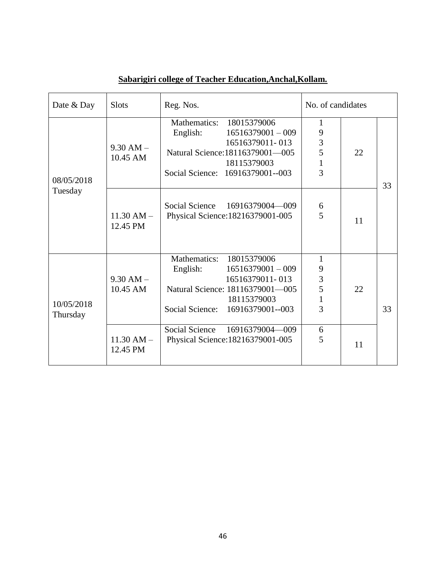| Date & Day             | <b>Slots</b>               | Reg. Nos.                                                                                                                                                                | No. of candidates                                  |    |    |
|------------------------|----------------------------|--------------------------------------------------------------------------------------------------------------------------------------------------------------------------|----------------------------------------------------|----|----|
| 08/05/2018<br>Tuesday  | $9.30$ AM $-$<br>10.45 AM  | Mathematics:<br>18015379006<br>English:<br>$16516379001 - 009$<br>16516379011-013<br>Natural Science: 18116379001-005<br>18115379003<br>Social Science: 16916379001--003 | 1<br>9<br>3<br>5<br>$\mathbf{1}$<br>$\overline{3}$ | 22 | 33 |
|                        | $11.30 AM -$<br>12.45 PM   | Social Science<br>16916379004—009<br>Physical Science: 18216379001-005                                                                                                   | 6<br>5                                             | 11 |    |
| 10/05/2018<br>Thursday | $9.30 AM -$<br>10.45 AM    | Mathematics:<br>18015379006<br>$16516379001 - 009$<br>English:<br>16516379011-013<br>Natural Science: 18116379001-005<br>18115379003<br>Social Science: 16916379001--003 | 1<br>9<br>3<br>5<br>$\mathbf{1}$<br>3              | 22 | 33 |
|                        | $11.30$ AM $-$<br>12.45 PM | Social Science<br>16916379004-009<br>Physical Science: 18216379001-005                                                                                                   | 6<br>5                                             | 11 |    |

# **Sabarigiri college of Teacher Education,Anchal,Kollam.**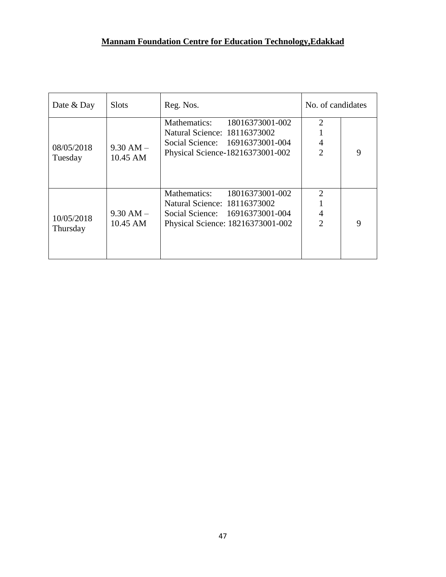# **Mannam Foundation Centre for Education Technology,Edakkad**

| Date & Day             | <b>Slots</b>            | Reg. Nos.                                                                                                                               | No. of candidates                     |   |
|------------------------|-------------------------|-----------------------------------------------------------------------------------------------------------------------------------------|---------------------------------------|---|
| 08/05/2018<br>Tuesday  | $9.30 AM -$<br>10.45 AM | 18016373001-002<br>Mathematics:<br>Natural Science: 18116373002<br>Social Science: 16916373001-004<br>Physical Science-18216373001-002  | 2<br>$\mathcal{D}_{\mathcal{L}}$      | 9 |
| 10/05/2018<br>Thursday | $9.30 AM -$<br>10.45 AM | Mathematics:<br>18016373001-002<br>Natural Science: 18116373002<br>Social Science: 16916373001-004<br>Physical Science: 18216373001-002 | 2<br>4<br>$\mathcal{D}_{\mathcal{L}}$ | 9 |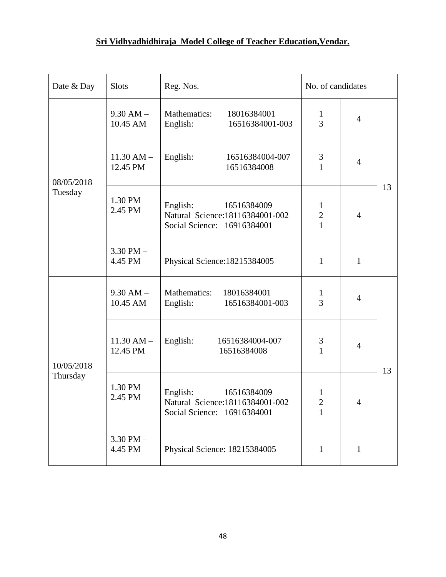# **Sri Vidhyadhidhiraja Model College of Teacher Education,Vendar.**

| Date & Day             | <b>Slots</b>                        | No. of candidates<br>Reg. Nos.                                                             |                                                  |                |    |
|------------------------|-------------------------------------|--------------------------------------------------------------------------------------------|--------------------------------------------------|----------------|----|
| 08/05/2018<br>Tuesday  | $9.30$ AM $-$<br>10.45 AM           | Mathematics:<br>18016384001<br>English:<br>16516384001-003                                 | $\mathbf{1}$<br>$\overline{3}$                   | $\overline{4}$ | 13 |
|                        | $11.30$ AM $-$<br>12.45 PM          | English:<br>16516384004-007<br>16516384008                                                 | $\mathfrak{Z}$<br>$\mathbf{1}$                   | $\overline{4}$ |    |
|                        | $1.30$ PM $-$<br>2.45 PM            | English:<br>16516384009<br>Natural Science: 18116384001-002<br>Social Science: 16916384001 | $\mathbf{1}$<br>$\overline{c}$<br>$\overline{1}$ | $\overline{4}$ |    |
|                        | $\overline{3.30}$ PM $-$<br>4.45 PM | Physical Science: 18215384005                                                              | $\mathbf{1}$                                     | $\mathbf{1}$   |    |
| 10/05/2018<br>Thursday | $9.30$ AM $-$<br>10.45 AM           | Mathematics:<br>18016384001<br>16516384001-003<br>English:                                 | $\mathbf{1}$<br>$\overline{3}$                   | $\overline{4}$ | 13 |
|                        | $11.30$ AM $-$<br>12.45 PM          | English:<br>16516384004-007<br>16516384008                                                 | $\mathfrak{Z}$<br>$\overline{1}$                 | $\overline{4}$ |    |
|                        | $1.30$ PM $-$<br>2.45 PM            | English:<br>16516384009<br>Natural Science: 18116384001-002<br>Social Science: 16916384001 | $\mathbf{1}$<br>2<br>$\mathbf{1}$                | 4              |    |
|                        | $3.30$ PM $-$<br>4.45 PM            | Physical Science: 18215384005                                                              | $\mathbf{1}$                                     | $\mathbf{1}$   |    |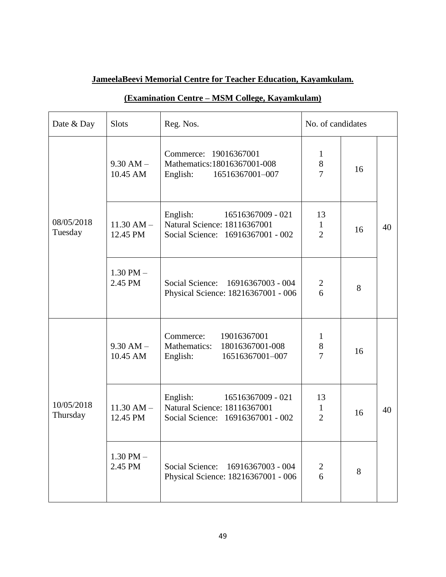#### **JameelaBeevi Memorial Centre for Teacher Education, Kayamkulam.**

# **(Examination Centre – MSM College, Kayamkulam)**

| Date & Day             | <b>Slots</b>               | Reg. Nos.                                                                                          | No. of candidates                       |    |    |
|------------------------|----------------------------|----------------------------------------------------------------------------------------------------|-----------------------------------------|----|----|
| 08/05/2018<br>Tuesday  | $9.30$ AM $-$<br>10.45 AM  | Commerce: 19016367001<br>Mathematics: 18016367001-008<br>16516367001-007<br>English:               | $\mathbf{1}$<br>$8\,$<br>$\overline{7}$ | 16 |    |
|                        | $11.30$ AM $-$<br>12.45 PM | English:<br>16516367009 - 021<br>Natural Science: 18116367001<br>Social Science: 16916367001 - 002 | 13<br>$\mathbf{1}$<br>$\overline{2}$    | 16 | 40 |
|                        | $1.30$ PM $-$<br>2.45 PM   | Social Science: 16916367003 - 004<br>Physical Science: 18216367001 - 006                           | $\overline{2}$<br>6                     | 8  |    |
| 10/05/2018<br>Thursday | $9.30$ AM $-$<br>10.45 AM  | 19016367001<br>Commerce:<br>18016367001-008<br>Mathematics:<br>16516367001-007<br>English:         | $\mathbf{1}$<br>$8\,$<br>$\overline{7}$ | 16 |    |
|                        | $11.30$ AM $-$<br>12.45 PM | English:<br>16516367009 - 021<br>Natural Science: 18116367001<br>Social Science: 16916367001 - 002 | 13<br>$\mathbf{1}$<br>$\overline{2}$    | 16 | 40 |
|                        | $1.30$ PM $-$<br>2.45 PM   | Social Science:<br>16916367003 - 004<br>Physical Science: 18216367001 - 006                        | $\overline{2}$<br>6                     | 8  |    |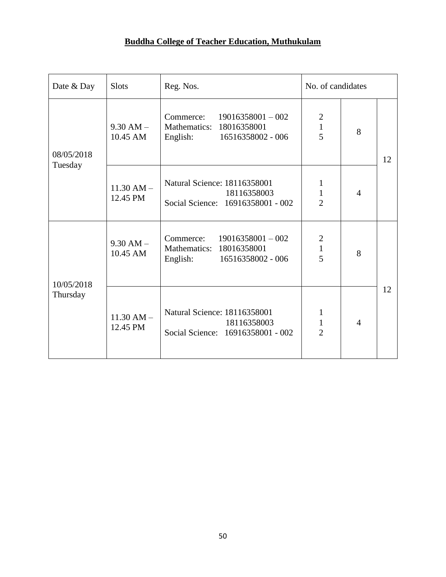# **Buddha College of Teacher Education, Muthukulam**

| Date & Day             | <b>Slots</b>               | Reg. Nos.                                                                                     | No. of candidates                                |                |    |
|------------------------|----------------------------|-----------------------------------------------------------------------------------------------|--------------------------------------------------|----------------|----|
| 08/05/2018<br>Tuesday  | $9.30$ AM $-$<br>10.45 AM  | Commerce:<br>$19016358001 - 002$<br>Mathematics: 18016358001<br>English: 16516358002 - 006    | $\overline{2}$<br>$\mathbf{1}$<br>$\overline{5}$ | 8              | 12 |
|                        | $11.30$ AM $-$<br>12.45 PM | Natural Science: 18116358001<br>18116358003<br>Social Science: 16916358001 - 002              | $\mathbf{1}$<br>$\mathbf{1}$<br>$\overline{2}$   | $\overline{4}$ |    |
| 10/05/2018<br>Thursday | $9.30$ AM $-$<br>10.45 AM  | Commerce:<br>$19016358001 - 002$<br>Mathematics: 18016358001<br>16516358002 - 006<br>English: | $\sqrt{2}$<br>$\mathbf{1}$<br>$\overline{5}$     | 8              |    |
|                        | $11.30$ AM $-$<br>12.45 PM | Natural Science: 18116358001<br>18116358003<br>Social Science: 16916358001 - 002              | 1<br>$\mathbf{1}$<br>$\overline{2}$              | $\overline{4}$ | 12 |